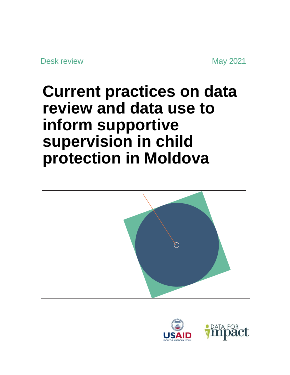## **Current practices on data review and data use to inform supportive supervision in child protection in Moldova**



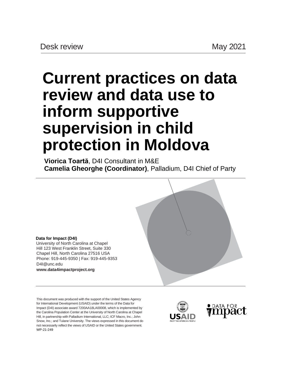# **Current practices on data review and data use to inform supportive supervision in child protection in Moldova**

**Viorica Toartă**, D4I Consultant in M&E **Camelia Gheorghe (Coordinator)**, Palladium, D4I Chief of Party



University of North Carolina at Chapel Hill 123 West Franklin Street, Suite 330 Chapel Hill, North Carolina 27516 USA Phone: 919-445-9350 | Fax: 919-445-9353 [D4I@unc.edu](mailto:D4I@unc.edu) **[www.data4impactproject.org](http://www.data4impactproject.org/)**

This document was produced with the support of the United States Agency for International Development (USAID) under the terms of the Data for Impact (D4I) associate award 7200AA18LA00008, which is implemented by the Carolina Population Center at the University of North Carolina at Chapel Hill, in partnership with Palladium International, LLC; ICF Macro, Inc.; John Snow, Inc.; and Tulane University. The views expressed in this document do not necessarily reflect the views of USAID or the United States government. WP-21-249

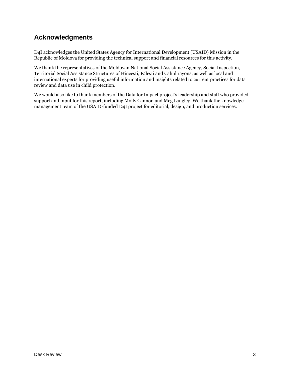## <span id="page-2-0"></span>**Acknowledgments**

D4I acknowledges the United States Agency for International Development (USAID) Mission in the Republic of Moldova for providing the technical support and financial resources for this activity.

We thank the representatives of the Moldovan National Social Assistance Agency, Social Inspection, Territorial Social Assistance Structures of Hîncești, Fălești and Cahul rayons, as well as local and international experts for providing useful information and insights related to current practices for data review and data use in child protection.

We would also like to thank members of the Data for Impact project's leadership and staff who provided support and input for this report, including Molly Cannon and Meg Langley. We thank the knowledge management team of the USAID-funded D4I project for editorial, design, and production services.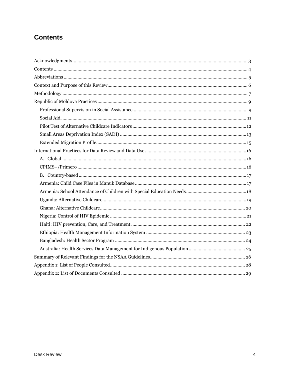## <span id="page-3-0"></span>**Contents**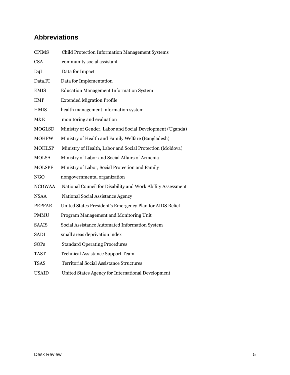## <span id="page-4-0"></span>**Abbreviations**

| <b>CPIMS</b>  | Child Protection Information Management Systems             |
|---------------|-------------------------------------------------------------|
| <b>CSA</b>    | community social assistant                                  |
| D4I           | Data for Impact                                             |
| Data.FI       | Data for Implementation                                     |
| <b>EMIS</b>   | <b>Education Management Information System</b>              |
| <b>EMP</b>    | <b>Extended Migration Profile</b>                           |
| <b>HMIS</b>   | health management information system                        |
| M&E           | monitoring and evaluation                                   |
| <b>MOGLSD</b> | Ministry of Gender, Labor and Social Development (Uganda)   |
| <b>MOHFW</b>  | Ministry of Health and Family Welfare (Bangladesh)          |
| <b>MOHLSP</b> | Ministry of Health, Labor and Social Protection (Moldova)   |
| <b>MOLSA</b>  | Ministry of Labor and Social Affairs of Armenia             |
| <b>MOLSPF</b> | Ministry of Labor, Social Protection and Family             |
| <b>NGO</b>    | nongovernmental organization                                |
| <b>NCDWAA</b> | National Council for Disability and Work Ability Assessment |
| <b>NSAA</b>   | National Social Assistance Agency                           |
| <b>PEPFAR</b> | United States President's Emergency Plan for AIDS Relief    |
| <b>PMMU</b>   | Program Management and Monitoring Unit                      |
| <b>SAAIS</b>  | Social Assistance Automated Information System              |
| SADI          | small areas deprivation index                               |
| <b>SOPs</b>   | <b>Standard Operating Procedures</b>                        |
| <b>TAST</b>   | <b>Technical Assistance Support Team</b>                    |
| <b>TSAS</b>   | <b>Territorial Social Assistance Structures</b>             |
| <b>USAID</b>  | United States Agency for International Development          |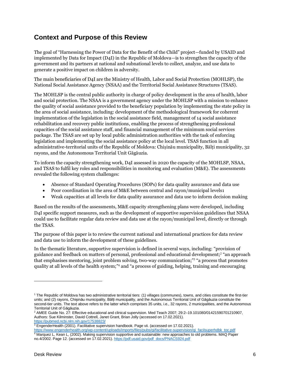## <span id="page-5-0"></span>**Context and Purpose of this Review**

The goal of "Harnessing the Power of Data for the Benefit of the Child" project—funded by USAID and implemented by Data for Impact (D4I) in the Republic of Moldova—is to strengthen the capacity of the government and its partners at national and subnational levels to collect, analyze, and use data to generate a positive impact on children in adversity.

The main beneficiaries of D4I are the Ministry of Health, Labor and Social Protection (MOHLSP), the National Social Assistance Agency (NSAA) and the Territorial Social Assistance Structures (TSAS).

The MOHLSP is the central public authority in charge of policy development in the area of health, labor and social protection. The NSAA is a government agency under the MOHLSP with a mission to enhance the quality of social assistance provided to the beneficiary population by implementing the state policy in the area of social assistance, including: development of the methodological framework for coherent implementation of the legislation in the social assistance field, management of 14 social assistance rehabilitation and recovery public institutions, enabling the process of strengthening professional capacities of the social assistance staff, and financial management of the minimum social services package. The TSAS are set up by local public administration authorities with the task of enforcing legislation and implementing the social assistance policy at the local level. TSAS function in all administrative-territorial units of the Republic of Moldova: Chișinău municipality, Bălți municipality, 32 rayons, and the Autonomous Territorial Unit Găgăuzia.

To inform the capacity strengthening work, D4I assessed in 2020 the capacity of the MOHLSP, NSAA, and TSAS to fulfil key roles and responsibilities in monitoring and evaluation (M&E). The assessments revealed the following system challenges:

- Absence of Standard Operating Procedures (SOPs) for data quality assurance and data use
- Poor coordination in the area of M&E between central and rayon/municipal levels1
- Weak capacities at all levels for data quality assurance and data use to inform decision making

Based on the results of the assessments, M&E capacity strengthening plans were developed, including D4I specific support measures, such as the development of supportive supervision guidelines that NSAA could use to facilitate regular data review and data use at the rayon/municipal level, directly or through the TSAS.

The purpose of this paper is to review the current national and international practices for data review and data use to inform the development of these guidelines.

In the thematic literature, supportive supervision is defined in several ways, including: "provision of guidance and feedback on matters of personal, professional and educational development;<sup>2</sup> "an approach that emphasises mentoring, joint problem solving, two-way communication;" 3 "a process that promotes quality at all levels of the health system;" <sup>4</sup> and "a process of guiding, helping, training and encouraging

<sup>1</sup> The Republic of Moldova has two administrative territorial tiers: (1) villages (communes), towns, and cities constitute the first-tier units; and (2) rayons, Chișinău municipality, Bălți municipality, and the Autonomous Territorial Unit of Găgăuzia constitute the second-tier units. The text above refers to the latter which comprises 35 units, i.e., 32 rayons, 2 municipalities, and the Autonomous Territorial Unit of Găgăuzia.

<sup>2</sup> AMEE Guide No. 27: Effective educational and clinical supervision. Med Teach 2007; 29:2–19.101080/01421590701210907, Authors: Sue Kilminster, David Cottrell, Janet Grant, Brian Jolly (accessed on 17.02.2021). <https://pubmed.ncbi.nlm.nih.gov/17538823/>

<sup>3</sup> EngenderHealth (2001). Facilitative supervision handbook. Page vii. (accessed on 17.02.2021).

[https://www.engenderhealth.org/wp-content/uploads/imports/files/pubs/qi/facilitative-supervision/qi\\_facilsuperhdbk\\_toc.pdf](https://www.engenderhealth.org/wp-content/uploads/imports/files/pubs/qi/facilitative-supervision/qi_facilsuperhdbk_toc.pdf) <sup>4</sup> Marquez L, Kean L, (2002). Making supervision supportive and sustainable: new approaches to old problems. MAQ Paper no.4/2002. Page 12. (accessed on 17.02.2021). [https://pdf.usaid.gov/pdf\\_docs/PNACS924.pdf](https://pdf.usaid.gov/pdf_docs/PNACS924.pdf)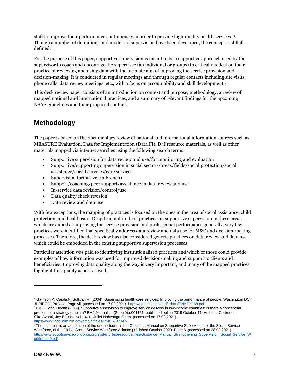staff to improve their performance continuously in order to provide high-quality health services." 5 Though a number of definitions and models of supervision have been developed, the concept is still illdefined. 6

For the purpose of this paper, supportive supervision is meant to be a supportive approach used by the supervisor to coach and encourage the supervisee (an individual or groups) to critically reflect on their practice of reviewing and using data with the ultimate aim of improving the service provision and decision-making. It is conducted in regular meetings and through regular contacts including site visits, phone calls, data review meetings, etc., with a focus on accountability and skill development. 7

This desk review paper consists of an introduction on context and purpose, methodology, a review of mapped national and international practices, and a summary of relevant findings for the upcoming NSAA guidelines and their proposed content.

### <span id="page-6-0"></span>**Methodology**

The paper is based on the documentary review of national and international information sources such as MEASURE Evaluation, Data for Implementation (Data.FI), D4I resource materials, as well as other materials mapped via internet searches using the following search terms:

- Supportive supervision for data review and use/for monitoring and evaluation
- Supportive/supporting supervision in social sectors/areas/fields/social protection/social assistance/social services/care services
- Supervision formative (in French)
- Support/coaching/peer support/assistance in data review and use
- In-service data revision/control/use
- Data quality check revision
- Data review and data use

With few exceptions, the mapping of practices is focused on the ones in the area of social assistance, child protection, and health care. Despite a multitude of practices on supportive supervision in these areas which are aimed at improving the service provision and professional performance generally, very few practices were identified that specifically address data review and data use for M&E and decision-making processes. Therefore, the desk review has also considered generic practices on data review and data use which could be embedded in the existing supportive supervision processes.

Particular attention was paid to identifying institutionalized practices and which of those could provide examples of how information was used for improved decision-making and support to clients and beneficiaries. Improving data quality along the way is very important, and many of the mapped practices highlight this quality aspect as well.

<sup>&</sup>lt;sup>5</sup> Garrison K, Caiola N, Sullivan R. (2004). Supervising health care services: Improving the performance of people. Washington DC: JHPIEGO. Preface. Page vii. (accessed on 17.02.2021)[. https://pdf.usaid.gov/pdf\\_docs/PNACX168.pdf](https://pdf.usaid.gov/pdf_docs/PNACX168.pdf)

<sup>&</sup>lt;sup>6</sup> BMJ Global Health (2019). Supportive supervision to improve service delivery in low-income countries: Is there a conceptual problem or a strategy problem? BMJ Journals, 4(Supp.9):e001151, published online 2019 October 11, Authors: Gertrude Sika Avortri, Joy Belinda Nabukalu, Juliet Nabyonga-Orem. (accessed on 17.02.2021). <https://www.ncbi.nlm.nih.gov/pmc/articles/PMC6797347/>

<sup>&</sup>lt;sup>7</sup> The definition is an adaptation of the one included in the Guidance Manual on Supportive Supervision for the Social Service Workforce, of the Global Social Service Workforce Alliance published October 2020. Page 6. (accessed on 28.03.2021). [http://www.socialserviceworkforce.org/system/files/resource/files/Guidance\\_Manual\\_Strengthening\\_Supervision\\_Social\\_Service\\_W](http://www.socialserviceworkforce.org/system/files/resource/files/Guidance_Manual_Strengthening_Supervision_Social_Service_Workforce_0.pdf) [orkforce\\_0.pdf](http://www.socialserviceworkforce.org/system/files/resource/files/Guidance_Manual_Strengthening_Supervision_Social_Service_Workforce_0.pdf)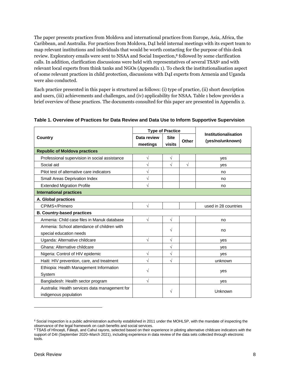The paper presents practices from Moldova and international practices from Europe, Asia, Africa, the Caribbean, and Australia. For practices from Moldova, D4I held internal meetings with its expert team to map relevant institutions and individuals that would be worth contacting for the purpose of this desk review. Exploratory emails were sent to NSAA and Social Inspection, <sup>8</sup> followed by some clarification calls. In addition, clarification discussions were held with representatives of several TSAS<sup>9</sup> and with relevant local experts from think tanks and NGOs (Appendix 1). To check the institutionalisation aspect of some relevant practices in child protection, discussions with D4I experts from Armenia and Uganda were also conducted.

Each practice presented in this paper is structured as follows: (i) type of practice, (ii) short description and users, (iii) achievements and challenges, and (iv) applicability for NSAA. Table 1 below provides a brief overview of these practices. The documents consulted for this paper are presented in Appendix 2.

|                                                | <b>Type of Practice</b> |             |            | Institutionalisation |  |  |
|------------------------------------------------|-------------------------|-------------|------------|----------------------|--|--|
| Country                                        | Data review             | <b>Site</b> | Other      | (yes/no/unknown)     |  |  |
|                                                | meetings<br>visits      |             |            |                      |  |  |
| <b>Republic of Moldova practices</b>           |                         |             |            |                      |  |  |
| Professional supervision in social assistance  | $\sqrt{}$               | $\sqrt{}$   |            | yes                  |  |  |
| Social aid                                     | V                       | $\sqrt{}$   | $\sqrt{ }$ | yes                  |  |  |
| Pilot test of alternative care indicators      | $\sqrt{}$               |             |            | no                   |  |  |
| Small Areas Deprivation Index                  | $\sqrt{}$               |             |            | no                   |  |  |
| <b>Extended Migration Profile</b>              | V                       |             |            | no                   |  |  |
| <b>International practices</b>                 |                         |             |            |                      |  |  |
| A. Global practices                            |                         |             |            |                      |  |  |
| CPIMS+/Primero                                 | $\sqrt{}$               |             |            | used in 28 countries |  |  |
| <b>B. Country-based practices</b>              |                         |             |            |                      |  |  |
| Armenia: Child case files in Manuk database    | $\sqrt{}$               | $\sqrt{}$   |            | no                   |  |  |
| Armenia: School attendance of children with    |                         | V           |            | no                   |  |  |
| special education needs                        |                         |             |            |                      |  |  |
| Uganda: Alternative childcare                  | $\sqrt{}$               | $\sqrt{}$   |            | yes                  |  |  |
| Ghana: Alternative childcare                   |                         | $\sqrt{}$   |            | yes                  |  |  |
| Nigeria: Control of HIV epidemic               | $\sqrt{2}$              | $\sqrt{2}$  |            | yes                  |  |  |
| Haiti: HIV prevention, care, and treatment     | $\sqrt{}$               | $\sqrt{}$   |            | unknown              |  |  |
| Ethiopia: Health Management Information        | V                       |             |            |                      |  |  |
| System                                         |                         |             |            | yes                  |  |  |
| Bangladesh: Health sector program              | $\sqrt{}$               |             |            | yes                  |  |  |
| Australia: Health services data management for |                         | V           |            | Unknown              |  |  |
| indigenous population                          |                         |             |            |                      |  |  |

#### **Table 1. Overview of Practices for Data Review and Data Use to Inform Supportive Supervision**

<sup>&</sup>lt;sup>8</sup> Social Inspection is a public administration authority established in 2011 under the MOHLSP, with the mandate of inspecting the observance of the legal framework on cash benefits and social services.

<sup>9</sup> TSAS of Hîncesti, Fălesti, and Cahul rayons, selected based on their experience in piloting alternative childcare indicators with the support of D4I (September 2020–March 2021), including experience in data review of the data sets collected through electronic tools.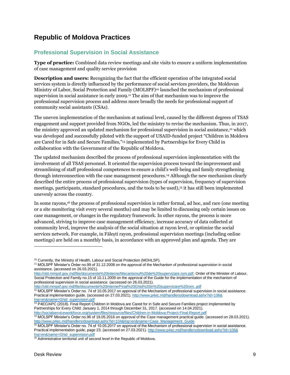## <span id="page-8-0"></span>**Republic of Moldova Practices**

#### <span id="page-8-1"></span>**Professional Supervision in Social Assistance**

**Type of practice:** Combined data review meetings and site visits to ensure a uniform implementation of case management and quality service provision

**Description and users:** Recognizing the fact that the efficient operation of the integrated social services system is directly influenced by the performance of social services providers, the Moldovan Ministry of Labor, Social Protection and Family (MOLSPF) <sup>10</sup> launched the mechanism of professional supervision in social assistance in early 2009. <sup>11</sup> The aim of that mechanism was to improve the professional supervision process and address more broadly the needs for professional support of community social assistants (CSAs).

The uneven implementation of the mechanism at national level, caused by the different degrees of TSAS engagement and support provided from NGOs, led the ministry to revise the mechanism. Thus, in 2017, the ministry approved an updated mechanism for professional supervision in social assistance, <sup>12</sup> which was developed and successfully piloted with the support of USAID-funded project "Children in Moldova are Cared for in Safe and Secure Families," <sup>13</sup> implemented by Partnerships for Every Child in collaboration with the Government of the Republic of Moldova.

The updated mechanism described the process of professional supervision implementation with the involvement of all TSAS personnel. It oriented the supervision process toward the improvement and streamlining of staff professional competences to ensure a child's well-being and family strengthening through interconnection with the case management procedures. <sup>14</sup> Although the new mechanism clearly described the entire process of professional supervision (types of supervision, frequency of supervision meetings, participants, standard procedures, and the tools to be used), <sup>15</sup> it has still been implemented unevenly across the country.

In some rayons, <sup>16</sup> the process of professional supervision is rather formal, ad hoc, and rare (one meeting or a site monitoring visit every several months) and may be limited to discussing only certain issues on case management, or changes in the regulatory framework. In other rayons, the process is more advanced, striving to improve case management efficiency, increase accuracy of data collected at community level, improve the analysis of the social situation at rayon level, or optimize the social services network. For example, in Fălești rayon, professional supervision meetings (including online meetings) are held on a monthly basis, in accordance with an approved plan and agenda. They are

[http://old.mmpsf.gov.md/file/documente%20interne/Mecanismul%20de%20supervizare.rom.pdf,](http://old.mmpsf.gov.md/file/documente%20interne/Mecanismul%20de%20supervizare.rom.pdf) Order of the Minister of Labour, Social Protection and Family no.15 of 10.11.2009 on the approval of the Guide for the implementation of the mechanism of professional supervision in social assistance. (accessed on 26.03.2021).

<http://old.mmpsf.gov.md/file/documente%20interne/Final%20Ghid%20in%20supervizare%20rom..pdf> <sup>12</sup> MOLSPF Minister's Order no. 74 of 10.05.2017 on approval of the Mechanism of professional supervision in social assistance. Practical implementation guide. (accessed on 27.03.2021)[. http://www.p4ec.md/handlers/download.ashx?id=106&](http://www.p4ec.md/handlers/download.ashx?id=106&lng=en&name=Ghid_supervision.pdf) [lng=en&name=Ghid\\_supervision.pdf](http://www.p4ec.md/handlers/download.ashx?id=106&lng=en&name=Ghid_supervision.pdf)

<sup>13</sup> P4EC/APC (2018). Final Report Children in Moldova are Cared for in Safe and Secure Families project Implemented by Partnerships for Every Child: January 1, 2014 through December 31, 2017. (accessed on 14.04.2021).

<http://socialserviceworkforce.org/system/files/resource/files/Children-in-Moldova-Project-Final-Report.pdf>

<sup>14</sup> MOLSPF Minister's Order no.96 of 18.05.2016 on approval of the Case management practical guide. (accessed on 28.03.2021). [http://www.p4ec.md/handlers/download.ashx?id=104&lng=en&name=Case\\_Management\\_Guide](http://www.p4ec.md/handlers/download.ashx?id=104&lng=en&name=Case_Management_Guide)

<sup>15</sup> MOLSPF Minister's Order no. 74 of 10.05.2017 on approval of the Mechanism of professional supervision in social assistance. Practical implementation guide, page 23. (accessed on 27.03.2021)[. http://www.p4ec.md/handlers/download.ashx?id=106&](http://www.p4ec.md/handlers/download.ashx?id=106&lng=en&name=Ghid_supervision.pdf) [lng=en&name=Ghid\\_supervision.pdf](http://www.p4ec.md/handlers/download.ashx?id=106&lng=en&name=Ghid_supervision.pdf)

<sup>&</sup>lt;sup>10</sup> Currently, the Ministry of Health, Labour and Social Protection (MOHLSP).

<sup>11</sup> MOLSPF Minister's Order no.99 of 31.12.2008 on the approval of the Mechanism of professional supervision in social assistance. (accessed on 26.03.2021).

<sup>&</sup>lt;sup>16</sup> Administrative territorial unit of second level in the Republic of Moldova.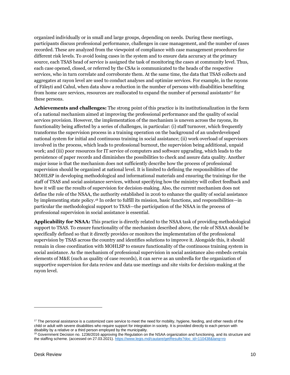organized individually or in small and large groups, depending on needs. During these meetings, participants discuss professional performance, challenges in case management, and the number of cases recorded. These are analyzed from the viewpoint of compliance with case management procedures for different risk levels. To avoid losing cases in the system and to ensure data accuracy at the primary source, each TSAS head of service is assigned the task of monitoring the cases at community level. Thus, each case opened, closed, or referred by the CSAs is communicated to the heads of the respective services, who in turn correlate and corroborate them. At the same time, the data that TSAS collects and aggregates at rayon level are used to conduct analyses and optimize services. For example, in the rayons of Fălești and Cahul, when data show a reduction in the number of persons with disabilities benefiting from home care services, resources are reallocated to expand the number of personal assistants<sup>17</sup> for these persons.

**Achievements and challenges:** The strong point of this practice is its institutionalization in the form of a national mechanism aimed at improving the professional performance and the quality of social services provision. However, the implementation of the mechanism is uneven across the rayons, its functionality being affected by a series of challenges, in particular: (i) staff turnover, which frequently transforms the supervision process in a training operation on the background of an underdeveloped national system for initial and continuous training in social assistance; (ii) work overload of supervisors involved in the process, which leads to professional burnout, the supervision being additional, unpaid work; and (iii) poor resources for IT service of computers and software upgrading, which leads to the persistence of paper records and diminishes the possibilities to check and assure data quality. Another major issue is that the mechanism does not sufficiently describe how the process of professional supervision should be organized at national level. It is limited to defining the responsibilities of the MOHLSP in developing methodological and informational materials and ensuring the trainings for the staff of TSAS and social assistance services, without specifying how the ministry will collect feedback and how it will use the results of supervision for decision-making. Also, the current mechanism does not define the role of the NSAA, the authority established in 2016 to enhance the quality of social assistance by implementing state policy. <sup>18</sup> In order to fulfill its mission, basic functions, and responsibilities—in particular the methodological support to TSAS—the participation of the NSAA in the process of professional supervision in social assistance is essential.

**Applicability for NSAA:** This practice is directly related to the NSAA task of providing methodological support to TSAS. To ensure functionality of the mechanism described above, the role of NSAA should be specifically defined so that it directly provides or monitors the implementation of the professional supervision by TSAS across the country and identifies solutions to improve it. Alongside this, it should remain in close coordination with MOHLSP to ensure functionality of the continuous training system in social assistance. As the mechanism of professional supervision in social assistance also embeds certain elements of M&E (such as quality of case records), it can serve as an umbrella for the organization of supportive supervision for data review and data use meetings and site visits for decision-making at the rayon level.

<sup>&</sup>lt;sup>17</sup> The personal assistance is a customized care service to meet the need for mobility, hygiene, feeding, and other needs of the child or adult with severe disabilities who require support for integration in society. It is provided directly to each person with disability by a relative or a third person employed by the municipality.

<sup>&</sup>lt;sup>18</sup> Government Decision no. 1236/2016 approving the Regulation on the NSAA organization and functioning, and its structure and the staffing scheme. (accessed on 27.03.2021). [https://www.legis.md/cautare/getResults?doc\\_id=110438&lang=ro](https://www.legis.md/cautare/getResults?doc_id=110438&lang=ro)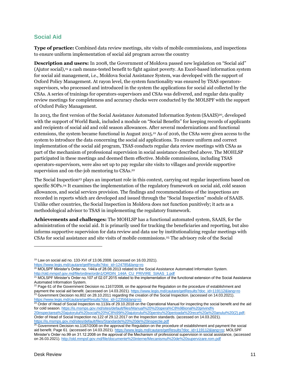#### <span id="page-10-0"></span>**Social Aid**

**Type of practice:** Combined data review meetings, site visits of mobile commissions, and inspections to ensure uniform implementation of social aid program across the country

**Description and users:** In 2008, the Government of Moldova passed new legislation on "Social aid" (Ajutor social), <sup>19</sup> a cash means-tested benefit to fight against poverty. An Excel-based information system for social aid management, i.e., Moldova Social Assistance System, was developed with the support of Oxford Policy Management. At rayon level, the system functionality was ensured by TSAS operatorssupervisors, who processed and introduced in the system the applications for social aid collected by the CSAs. A series of trainings for operators-supervisors and CSAs was delivered, and regular data quality review meetings for completeness and accuracy checks were conducted by the MOLSPF with the support of Oxford Policy Management.

In 2013, the first version of the Social Assistance Automated Information System (SAAIS)<sup>20</sup>, developed with the support of World Bank, included a module on "Social Benefits" for keeping records of applicants and recipients of social aid and cold season allowances. After several modernizations and functional extensions, the system became functional in August 2015. <sup>21</sup> As of 2016, the CSAs were given access to the system to introduce the data concerning the social aid applications. To ensure uniform and correct implementation of the social aid program, TSAS conducts regular data review meetings with CSAs as part of the mechanism of professional supervision in social assistance described above. The MOHLSP participated in these meetings and deemed them effective. Mobile commissions, including TSAS operators-supervisors, were also set up to pay regular site visits to villages and provide supportive supervision and on-the-job mentoring to CSAs.<sup>22</sup>

The Social Inspection<sup>23</sup> plays an important role in this context, carrying out regular inspections based on specific SOPs. <sup>24</sup> It examines the implementation of the regulatory framework on social aid, cold season allowances, and social services provision. The findings and recommendations of the inspections are recorded in reports which are developed and issued through the "Social Inspection" module of SAAIS. Unlike other countries, the Social Inspection in Moldova does not function punitively; it acts as a methodological advisor to TSAS in implementing the regulatory framework.

**Achievements and challenges:** The MOHLSP has a functional automated system, SAAIS, for the administration of the social aid. It is primarily used for tracking the beneficiaries and reporting, but also informs supportive supervision for data review and data use by institutionalizing regular meetings with CSAs for social assistance and site visits of mobile commissions. <sup>25</sup> The advisory role of the Social

<sup>19</sup> Law on social aid no. 133-XVI of 13.06.2008. (accessed on 16.03.2021).

[https://www.legis.md/cautare/getResults?doc\\_id=124785&lang=ro](https://www.legis.md/cautare/getResults?doc_id=124785&lang=ro)

<sup>&</sup>lt;sup>20</sup> MOLSPF Minister's Order no. 144/a of 28.08.2013 related to the Social Assistance Automated Information System. [http://old.mmpsf.gov.md/file/ordine/ordin1/ORDIN\\_144A\\_CU\\_PRIVIRE\\_SIAAS\\_1.pdf](http://old.mmpsf.gov.md/file/ordine/ordin1/ORDIN_144A_CU_PRIVIRE_SIAAS_1.pdf)

 $^{21}$  MOLSPF Minister's Order no.107 of 02.07.2015 related to the implementation of the functional extension of the Social Assistance Automated Information System.

<sup>&</sup>lt;sup>22</sup> Page 61 of the Government Decision no.1167/2008, on the approval the Regulation on the procedure of establishment and payment the social aid benefit. (accessed on 14.03.2021)[. https://www.legis.md/cautare/getResults?doc\\_id=119112&lang=ro](https://www.legis.md/cautare/getResults?doc_id=119112&lang=ro) <sup>23</sup> Government Decision no.802 on 28.10.2011 regarding the creation of the Social Inspection. (accessed on 14.03.2021). [https://www.legis.md/cautare/getResults?doc\\_id=12356&lang=ro](https://www.legis.md/cautare/getResults?doc_id=12356&lang=ro)

 $24$  Order of Head of Social Inspection no.113/a of 29.10.2018 on the Operational Manual for inspecting the social benefit and the aid for cold season. [https://is.msmps.gov.md/sites/default/files/Manual%20%20opera%C8%9Bional%20privind%](https://is.msmps.gov.md/sites/default/files/Manual%20%20opera%C8%9Bional%20privind%20inspectarea%20ajutorului%20social%20%C8%99i%20ajutorului%20pentru%20perioada%20rece%20a%20anului%20(2).pdf)

[<sup>20</sup>inspectarea%20ajutorului%20social%20%C8%99i%20ajutorului%20pentru%20perioada%20rece%20a%20anului%20\(2\).pdf;](https://is.msmps.gov.md/sites/default/files/Manual%20%20opera%C8%9Bional%20privind%20inspectarea%20ajutorului%20social%20%C8%99i%20ajutorului%20pentru%20perioada%20rece%20a%20anului%20(2).pdf) Order of Head of Social Inspection no.122 of 29.12.2017 on the Inspection standards. (accessed on 14.03.2021). <https://is.msmps.gov.md/sites/default/files/Standarde%20%20de%20inspectie.pdf>

 $25$  Government Decision no.1167/2008 on the approval the Regulation on the procedure of establishment and payment the social aid benefit. Page 61. (accessed on 14.03.2021)[. https://www.legis.md/cautare/getResults?doc\\_id=119112&lang=ro;](https://www.legis.md/cautare/getResults?doc_id=119112&lang=ro) MOLSPF Minister's Order no.99 on 31.12.2008 on the approval of the Mechanism of professional supervision in social assistance, (accessed on 26.03.2021). <http://old.mmpsf.gov.md/file/documente%20interne/Mecanismul%20de%20supervizare.rom.pdf>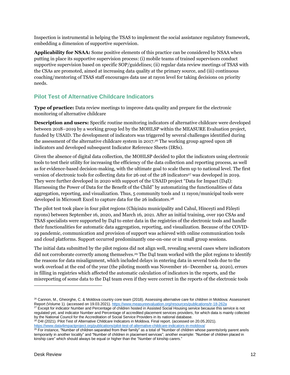Inspection is instrumental in helping the TSAS to implement the social assistance regulatory framework, embedding a dimension of supportive supervision.

**Applicability for NSAA:** Some positive elements of this practice can be considered by NSAA when putting in place its supportive supervision process: (i) mobile teams of trained supervisors conduct supportive supervision based on specific SOP/guidelines; (ii) regular data review meetings of TSAS with the CSAs are promoted, aimed at increasing data quality at the primary source, and (iii) continuous coaching/mentoring of TSAS staff encourages data use at rayon level for taking decisions on priority needs.

#### <span id="page-11-0"></span>**Pilot Test of Alternative Childcare Indicators**

**Type of practice:** Data review meetings to improve data quality and prepare for the electronic monitoring of alternative childcare

**Description and users:** Specific routine monitoring indicators of alternative childcare were developed between 2018–2019 by a working group led by the MOHLSP within the MEASURE Evaluation project, funded by USAID. The development of indicators was triggered by several challenges identified during the assessment of the alternative childcare system in 2017. <sup>26</sup> The working group agreed upon 28 indicators and developed subsequent Indicator Reference Sheets (IRSs).

Given the absence of digital data collection, the MOHLSP decided to pilot the indicators using electronic tools to test their utility for increasing the efficiency of the data collection and reporting process, as well as for evidence-based decision-making, with the ultimate goal to scale them up to national level. The first version of electronic tools for collecting data for 26 out of the 28 indicators<sup>27</sup> was developed in 2019. They were further developed in 2020 with support of the USAID project "Data for Impact (D4I): Harnessing the Power of Data for the Benefit of the Child" by automatizing the functionalities of data aggregation, reporting, and visualization. Thus, 5 community tools and 11 rayon/municipal tools were developed in Microsoft Excel to capture data for the 26 indicators. 28

The pilot test took place in four pilot regions (Chișinău municipality and Cahul, Hîncești and Fălești rayons) between September 16, 2020, and March 16, 2021. After an initial training, over 190 CSAs and TSAS specialists were supported by D4I to enter data in the registries of the electronic tools and handle their functionalities for automatic data aggregation, reporting, and visualization. Because of the COVID-19 pandemic, communication and provision of support was achieved with online communication tools and cloud platforms. Support occurred predominantly one-on-one or in small group sessions.

The initial data submitted by the pilot regions did not align well, revealing several cases where indicators did not corroborate correctly among themselves. <sup>29</sup> The D4I team worked with the pilot regions to identify the reasons for data misalignment, which included delays in entering data in several tools due to the work overload at the end of the year (the piloting month was November 16–December 14, 2020), errors in filling in registries which affected the automatic calculation of indicators in the reports, and the misreporting of some data to the D4I team even if they were correct in the reports of the electronic tools

 $27$  Except for indicator Number and Percentage of children hosted in Assisted Social Housing service because this service is not regulated yet, and indicator Number and Percentage of accredited placement services providers, for which data is mainly collected by the National Council for the Accreditation of Social Service Providers in its national database.

<sup>28</sup> D4I (2021). Pilot Test of Alternative Childcare Indicators in Moldova. Final report. (accessed on 20.05.2021). <https://www.data4impactproject.org/publications/pilot-test-of-alternative-childcare-indicators-in-moldova/>

<sup>&</sup>lt;sup>26</sup> Cannon, M., Gheorghe, C. & Moldova country core team (2018). Assessing alternative care for children in Moldova: Assessment Report (Volume 1). (accessed on 19.03.2021). <https://www.measureevaluation.org/resources/publications/tr-18-262a>

<sup>&</sup>lt;sup>29</sup> For instance, "Number of children separated from their family" as a total of "Number of children whose parents/only parent are/is temporarily in another locality" and "Number of children in placement services"; another example: "Number of children placed in kinship care" which should always be equal or higher than the "Number of kinship carers."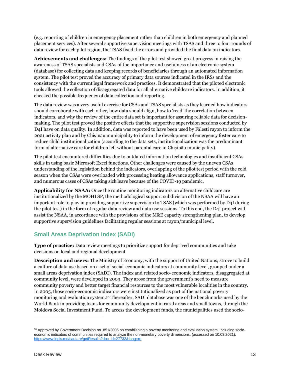(e.g. reporting of children in emergency placement rather than children in both emergency and planned placement services). After several supportive supervision meetings with TSAS and three to four rounds of data review for each pilot region, the TSAS fixed the errors and provided the final data on indicators.

**Achievements and challenges:** The findings of the pilot test showed great progress in raising the awareness of TSAS specialists and CSAs of the importance and usefulness of an electronic system (database) for collecting data and keeping records of beneficiaries through an automated information system. The pilot test proved the accuracy of primary data sources indicated in the IRSs and the consistency with the current legal framework and practices. It demonstrated that the piloted electronic tools allowed the collection of disaggregated data for all alternative childcare indicators. In addition, it checked the possible frequency of data collection and reporting.

The data review was a very useful exercise for CSAs and TSAS specialists as they learned how indicators should corroborate with each other, how data should align, how to 'read' the correlation between indicators, and why the review of the entire data set is important for assuring reliable data for decisionmaking. The pilot test proved the positive effects that the supportive supervision sessions conducted by D4I have on data quality. In addition, data was reported to have been used by Fălesti rayon to inform the 2021 activity plan and by Chișinău municipality to inform the development of emergency foster care to reduce child institutionalization (according to the data sets, institutionalization was the predominant form of alternative care for children left without parental care in Chișinău municipality).

The pilot test encountered difficulties due to outdated information technologies and insufficient CSAs skills in using basic Microsoft Excel functions. Other challenges were caused by the uneven CSAs understanding of the legislation behind the indicators, overlapping of the pilot test period with the cold season when the CSAs were overloaded with processing heating allowance applications, staff turnover, and numerous cases of CSAs taking sick leave because of the COVID-19 pandemic.

**Applicability for NSAA:** Once the routine monitoring indicators on alternative childcare are institutionalized by the MOHLSP, the methodological support subdivision of the NSAA will have an important role to play in providing supportive supervision to TSAS (which was performed by D4I during the pilot test) in the form of regular data review and data use sessions. To this end, the D4I project will assist the NSAA, in accordance with the provisions of the M&E capacity strengthening plan, to develop supportive supervision guidelines facilitating regular sessions at rayon/municipal level.

#### <span id="page-12-0"></span>**Small Areas Deprivation Index (SADI)**

**Type of practice:** Data review meetings to prioritize support for deprived communities and take decisions on local and regional development

**Description and users:** The Ministry of Economy, with the support of United Nations, strove to build a culture of data use based on a set of social-economic indicators at community level, grouped under a small areas deprivation index (SADI). The index and related socio-economic indicators, disaggregated at community level, were developed in 2003. They arose from the government's need to measure community poverty and better target financial resources to the most vulnerable localities in the country. In 2005, those socio-economic indicators were institutionalized as part of the national poverty monitoring and evaluation system. <sup>30</sup> Thereafter, SADI database was one of the benchmarks used by the World Bank in providing loans for community development in rural areas and small towns, through the Moldova Social Investment Fund. To access the development funds, the municipalities used the socio-

<sup>&</sup>lt;sup>30</sup> Approved by Government Decision no. 851/2005 on establishing a poverty monitoring and evaluation system, including socioeconomic indicators of communities required to analyze the non-monetary poverty dimensions. (accessed on 10.03.2021). [https://www.legis.md/cautare/getResults?doc\\_id=27733&lang=ro](https://www.legis.md/cautare/getResults?doc_id=27733&lang=ro)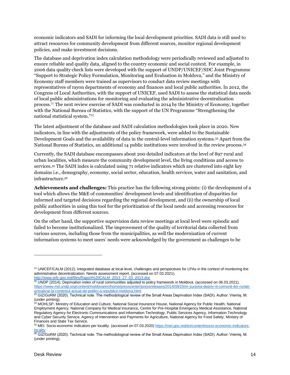economic indicators and SADI for informing the local development priorities. SADI data is still used to attract resources for community development from different sources, monitor regional development policies, and make investment decisions.

The database and deprivation index calculation methodology were periodically reviewed and adjusted to ensure reliable and quality data, aligned to the country economic and social context. For example, in 2006 data quality check lists were developed with the support of UNDP/UNICEF/SDC Joint Programme "Support to Strategic Policy Formulation, Monitoring and Evaluation in Moldova," and the Ministry of Economy staff members were trained as supervisors to conduct data review meetings with representatives of rayon departments of economy and finances and local public authorities. In 2012, the Congress of Local Authorities, with the support of UNICEF, used SADI to assess the statistical data needs of local public administrations for monitoring and evaluating the administrative decentralization process. <sup>31</sup> The next review exercise of SADI was conducted in 2014 by the Ministry of Economy, together with the National Bureau of Statistics, with the support of the UN Programme "Strengthening the national statistical system." 32

The latest adjustment of the database and SADI calculation methodologies took place in 2020. New indicators, in line with the adjustments of the policy framework, were added to the Sustainable Development Goals and the availability of data in the central-level information systems. <sup>33</sup> Apart from the National Bureau of Statistics, an additional 14 public institutions were involved in the review process. 34

Currently, the SADI database encompasses about 200 detailed indicators at the level of 897 rural and urban localities, which measure the community development level, the living conditions and access to services. <sup>35</sup> The SADI index is calculated using 71 relative indicators which are clustered into eight key domains i.e., demography, economy, social sector, education, health services, water and sanitation, and infrastructure. 36

**Achievements and challenges:** This practice has the following strong points: (i) the development of a tool which allows the M&E of communities' development levels and identification of disparities for informed and targeted decisions regarding the regional development, and (ii) the ownership of local public authorities in using this tool for the prioritization of the local needs and accessing resources for development from different sources.

On the other hand, the supportive supervision data review meetings at local level were episodic and failed to become institutionalized. The improvement of the quality of territorial data collected from various sources, including those from the municipalities, as well the modernization of current information systems to meet users' needs were acknowledged by the government as challenges to be

<sup>&</sup>lt;sup>31</sup> UNICEF/CALM (2012). Integrated database at local level, challenges and perspectives for LPAs in the context of monitoring the administrative decentralization. Needs assessment report. (accessed on 07.03.2021). [http://www.arfc.gov.md/files/Raport%20CALM\\_2013\\_27\\_03\\_2013.doc](http://www.arfc.gov.md/files/Raport%20CALM_2013_27_03_2013.doc)

 $32$  UNDP (2014). Deprivation index of rural communities adjusted to policy framework in Moldova. (accessed on 06.03.2021). [https://www.md.undp.org/content/moldova/en/home/presscenter/pressreleases/2014/08/25/m-surarea-depriv-rii-comunit-ilor-rurale](https://www.md.undp.org/content/moldova/en/home/presscenter/pressreleases/2014/08/25/m-surarea-depriv-rii-comunit-ilor-rurale-actualizat-la-contextul-actual-de-politici-a-republicii-moldova.html)[actualizat-la-contextul-actual-de-politici-a-republicii-moldova.html](https://www.md.undp.org/content/moldova/en/home/presscenter/pressreleases/2014/08/25/m-surarea-depriv-rii-comunit-ilor-rurale-actualizat-la-contextul-actual-de-politici-a-republicii-moldova.html)

 $^{33}$  GIZ/GoRM (2020). Technical note. The methodological review of the Small Areas Deprivation Index (SADI). Author: Vremiș, M. (under printing).

<sup>&</sup>lt;sup>34</sup> MOHLSP, Ministry of Education and Culture, National Social Insurance House, National Agency for Public Health, National Employment Agency, National Company for Medical Insurance, Centre for Pre-Hospital Emergency Medical Assistance, National Regulatory Agency for Electronic Communications and Information Technology, Public Services Agency, Information Technology and Cyber Security Service, Agency of Intervention and Payments for Agriculture, National Agency for Food Safety, Ministry of Finances and State Tax Service.

<sup>35</sup> MEI. Socio-economic indicators per locality. (accessed on 07.03.2020) [https://mei.gov.md/en/content/socio-economic-indicators](https://mei.gov.md/en/content/socio-economic-indicators-locality)[locality](https://mei.gov.md/en/content/socio-economic-indicators-locality)

<sup>36</sup> GIZ/GoRM (2020). Technical note. The methodological review of the Small Areas Deprivation Index (SADI). Author: Vremiș, M. (under printing).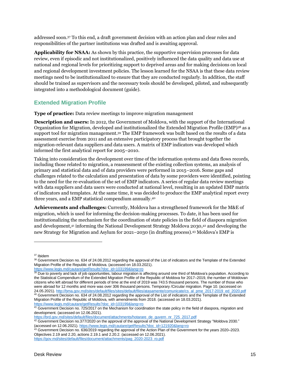addressed soon. <sup>37</sup> To this end, a draft government decision with an action plan and clear roles and responsibilities of the partner institutions was drafted and is awaiting approval.

**Applicability for NSAA:** As shown by this practice, the supportive supervision processes for data review, even if episodic and not institutionalized, positively influenced the data quality and data use at national and regional levels for prioritizing support to deprived areas and for making decisions on local and regional development investment policies. The lesson learned for the NSAA is that these data review meetings need to be institutionalized to ensure that they are conducted regularly. In addition, the staff should be trained as supervisors and the necessary tools should be developed, piloted, and subsequently integrated into a methodological document (guide).

#### <span id="page-14-0"></span>**Extended Migration Profile**

**Type of practice:** Data review meetings to improve migration management

**Description and users:** In 2012, the Government of Moldova, with the support of the International Organization for Migration, developed and institutionalized the Extended Migration Profile (EMP)<sup>38</sup> as a support tool for migration management. <sup>39</sup> The EMP framework was built based on the results of a data assessment exercise from 2011 and an extensive participatory process that brought together the migration-relevant data suppliers and data users. A matrix of EMP indicators was developed which informed the first analytical report for 2005–2010.

Taking into consideration the development over time of the information systems and data flows records, including those related to migration, a reassessment of the existing collection systems, an analysis of primary and statistical data and of data providers were performed in 2015–2016. Some gaps and challenges related to the calculation and presentation of data by some providers were identified, pointing to the need for the re-evaluation of the set of EMP indicators. A series of regular data review meetings with data suppliers and data users were conducted at national level, resulting in an updated EMP matrix of indicators and templates. At the same time, it was decided to produce the EMP analytical report every three years, and a EMP statistical compendium annually. 40

**Achievements and challenges:** Currently, Moldova has a strengthened framework for the M&E of migration, which is used for informing the decision-making processes. To date, it has been used for institutionalizing the mechanism for the coordination of state policies in the field of diaspora migration and development, <sup>41</sup> informing the National Development Strategy Moldova 2030, <sup>42</sup> and developing the new Strategy for Migration and Asylum for 2021–2030 (in drafting process). <sup>43</sup> Moldova's EMP is

[https://brd.gov.md/sites/default/files/document/attachments/hotarare\\_de\\_guvern\\_nr\\_725\\_2017.pdf](https://brd.gov.md/sites/default/files/document/attachments/hotarare_de_guvern_nr_725_2017.pdf)

<sup>37</sup> Ibidem

<sup>38</sup> Government Decision no. 634 of 24.08.2012 regarding the approval of the List of indicators and the Template of the Extended Migration Profile of the Republic of Moldova. (accessed on 18.03.2021).

[https://www.legis.md/cautare/getResults?doc\\_id=103199&lang=ro](https://www.legis.md/cautare/getResults?doc_id=103199&lang=ro)

<sup>&</sup>lt;sup>39</sup> Due to poverty and lack of job opportunities, labour migration is affecting around one third of Moldova's population. According to the Statistical Compendium of the Extended Migration Profile of the Republic of Moldova for 2017–2019, the number of Moldovan citizens who left abroad for different periods of time at the end of 2019 was 743.5 thousand persons. The number of those who were abroad for 12 months and more was over 306 thousand persons. Temporary /Circular migration. Page 10. (accessed on 24.05.2021)[. http://bma.gov.md/sites/default/files/sites/default/files/atasamente/comunicate/cs\\_al\\_pme\\_2017-2019\\_ed\\_2020.pdf](http://bma.gov.md/sites/default/files/sites/default/files/atasamente/comunicate/cs_al_pme_2017-2019_ed_2020.pdf) <sup>40</sup> Government Decision no. 634 of 24.08.2012 regarding the approval of the List of indicators and the Template of the Extended Migration Profile of the Republic of Moldova, with amendments from 2018. (accessed on 18.03.2021). [https://www.legis.md/cautare/getResults?doc\\_id=103199&lang=ro](https://www.legis.md/cautare/getResults?doc_id=103199&lang=ro)

<sup>&</sup>lt;sup>41</sup> Government Decision no. 725/2017 on the Mechanism for coordination the state policy in the field of diaspora, migration and development. (accessed on 12.06.2021).

 $42$  Government Decision no.377/2020 on the approval of the approval of the National Development Strategy "Moldova 2030." (accessed on 12.06.2021). [https://www.legis.md/cautare/getResults?doc\\_id=121920&lang=ro](https://www.legis.md/cautare/getResults?doc_id=121920&lang=ro)

 $43$  Government Decision no. 636/2019 regarding the approval of the Action Plan of the Government for the years 2020–2023. Objectives 2.19 and 2.20, actions 2.19.1 and 2.20.2. (accessed on 12.06.2021).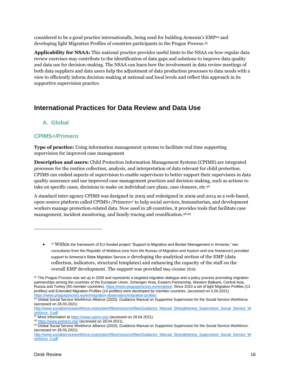considered to be a good practice internationally, being used for building Armenia's EMP<sup>44</sup> and developing light Migration Profiles of countries participants in the Prague Process. 45

**Applicability for NSAA:** This national practice provides useful hints to the NSAA on how regular data review exercises may contribute to the identification of data gaps and solutions to improve data quality and data use for decision-making. The NSAA can learn how the involvement in data review meetings of both data suppliers and data users help the adjustment of data production processes to data needs with a view to efficiently inform decision-making at national and local levels and reflect this approach in its supportive supervision practice.

## <span id="page-15-0"></span>**International Practices for Data Review and Data Use**

#### <span id="page-15-1"></span>**A. Global**

#### <span id="page-15-2"></span>**CPIMS+/Primero**

**Type of practice:** Using information management systems to facilitate real time supporting supervision for improved case management

**Description and users:** Child Protection Information Management Systems (CPIMS) are integrated processes for the routine collection, analysis, and interpretation of data relevant for child protection. CPIMS can embed aspects of supervision to enable supervisors to better support their supervisees in data quality assurance and use improved case management practices and decision making, such as actions to take on specific cases, decisions to make on individual care plans, case closures, etc. 46

A standard inter-agency CPIMS was designed in 2005 and redesigned in 2009 and 2014 as a web-based, open-source platform called CPIMS+/Primero<sup>47</sup> to help social services, humanitarian, and development workers manage protection-related data. Now used in 28 countries, it provides tools that facilitate case management, incident monitoring, and family tracing and reunification. 48,49

• <sup>44</sup> Within the framework of EU-funded project "Support to Migration and Border Management in Armenia," two consultants from the Republic of Moldova (one from the Bureau of Migration and Asylum and one freelancer) provided support to Armenia's State Migration Service in developing the analytical section of the EMP (data collection, indicators, structural templates) and enhancing the capacity of the staff on the overall EMP development. The support was provided May–October 2018.

<sup>&</sup>lt;sup>45</sup> The Prague Process was set up in 2009 and represents a targeted migration dialogue and a policy process promoting migration partnerships among the countries of the European Union, Schengen Area, Eastern Partnership, Western Balkans, Central Asia, Russia and Turkey (50 member countries). [https://www.pragueprocess.eu/en/about.](https://www.pragueprocess.eu/en/about) Since 2010 a set of light Migration Profiles (13 profiles) and Extended Migration Profiles (14 profiles) were developed by member countries. (accessed on 5.04.2021). <https://www.pragueprocess.eu/en/migration-observatory/migration-profiles>

<sup>&</sup>lt;sup>46</sup> Global Social Service Workforce Alliance (2020). Guidance Manual on Supportive Supervision for the Social Service Workforce. (accessed on 28.03.2021)

[http://www.socialserviceworkforce.org/system/files/resource/files/Guidance\\_Manual\\_Strengthening\\_Supervision\\_Social\\_Service\\_W](http://www.socialserviceworkforce.org/system/files/resource/files/Guidance_Manual_Strengthening_Supervision_Social_Service_Workforce_0.pdf) [orkforce\\_0.pdf](http://www.socialserviceworkforce.org/system/files/resource/files/Guidance_Manual_Strengthening_Supervision_Social_Service_Workforce_0.pdf)

<sup>47</sup> More information at<https://www.cpims.org/> (accessed on 28.04.2021).

<sup>48</sup> <https://www.primero.org/> (accessed on 28.04.2021).

<sup>49</sup> Global Social Service Workforce Alliance (2020). Guidance Manual on Supportive Supervision for the Social Service Workforce. (accessed on 28.03.2021).

[http://www.socialserviceworkforce.org/system/files/resource/files/Guidance\\_Manual\\_Strengthening\\_Supervision\\_Social\\_Service\\_W](http://www.socialserviceworkforce.org/system/files/resource/files/Guidance_Manual_Strengthening_Supervision_Social_Service_Workforce_0.pdf) [orkforce\\_0.pdf](http://www.socialserviceworkforce.org/system/files/resource/files/Guidance_Manual_Strengthening_Supervision_Social_Service_Workforce_0.pdf)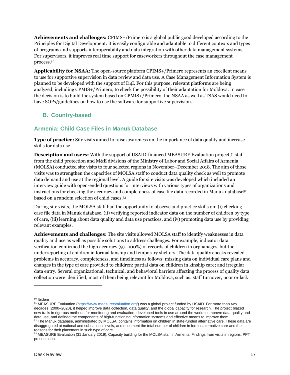**Achievements and challenges:** CPIMS+/Primero is a global public good developed according to the Principles for Digital Development. It is easily configurable and adaptable to different contexts and types of programs and supports interoperability and data integration with other data management systems. For supervisors, it improves real time support for caseworkers throughout the case management process. 50

**Applicability for NSAA:** The open-source platform CPIMS+/Primero represents an excellent means to use for supportive supervision in data review and data use. A Case Management Information System is planned to be developed with the support of D4I. For this purpose, relevant platforms are being analyzed, including CPMIS+/Primero, to check the possibility of their adaptation for Moldova. In case the decision is to build the system based on CPMIS+/Primero, the NSAA as well as TSAS would need to have SOPs/guidelines on how to use the software for supportive supervision.

#### <span id="page-16-0"></span>**B. Country-based**

#### <span id="page-16-1"></span>**Armenia: Child Case Files in Manuk Database**

**Type of practice:** Site visits aimed to raise awareness on the importance of data quality and increase skills for data use

**Description and users:** With the support of USAID-financed MEASURE Evaluation project,<sup>51</sup> staff from the child protection and M&E divisions of the Ministry of Labor and Social Affairs of Armenia (MOLSA) conducted site visits to four selected regions in November–December 2018. The aim of those visits was to strengthen the capacities of MOLSA staff to conduct data quality check as well to promote data demand and use at the regional level. A guide for site visits was developed which included an interview guide with open-ended questions for interviews with various types of organizations and instructions for checking the accuracy and completeness of case file data recorded in Manuk database<sup>52</sup> based on a random selection of child cases. 53

During site visits, the MOLSA staff had the opportunity to observe and practice skills on: (i) checking case file data in Manuk database, (ii) verifying reported indicator data on the number of children by type of care, (iii) learning about data quality and data use practices, and (iv) promoting data use by providing relevant examples.

**Achievements and challenges:** The site visits allowed MOLSA staff to identify weaknesses in data quality and use as well as possible solutions to address challenges. For example, indicator data verification confirmed the high accuracy (97–100%) of records of children in orphanages, but the underreporting of children in formal kinship and temporary shelters. The data quality checks revealed problems in accuracy, completeness, and timeliness as follows: missing data on individual care plans and changes in the type of care provided to children; partial data on children in kinship care; and irregular data entry. Several organizational, technical, and behavioral barriers affecting the process of quality data collection were identified, most of them being relevant for Moldova, such as: staff turnover, poor or lack

<sup>50</sup> Ibidem

<sup>51</sup> MEASURE Evaluation [\(https://www.measureevaluation.org/\)](https://www.measureevaluation.org/) was a global project funded by USAID. For more than two decades (2000–2020), it helped improve data collection, data quality, and the global capacity for research. The project blazed new trails in rigorous methods for monitoring and evaluation, developed tools in use around the world to improve data quality and data use, and defined the components of high-functioning information systems and effective means to improve them. <sup>52</sup> The Manuk database, administrated by MOLSA, contains information on children in state-funded alternative care. These data are

disaggregated at national and subnational levels, and document the total number of children in formal alternative care and the reasons for their placement in such type of care.

<sup>53</sup> MEASURE Evaluation (31 January 2019). Capacity building for the MOLSA staff in Armenia: Findings from visits in regions. PPT presentation.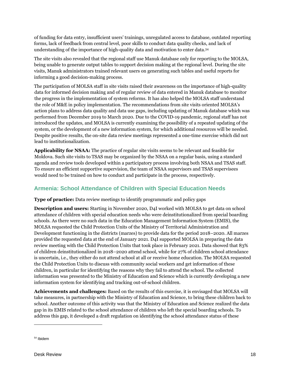of funding for data entry, insufficient users' trainings, unregulated access to database, outdated reporting forms, lack of feedback from central level, poor skills to conduct data quality checks, and lack of understanding of the importance of high-quality data and motivation to enter data. 54

The site visits also revealed that the regional staff use Manuk database only for reporting to the MOLSA, being unable to generate output tables to support decision making at the regional level. During the site visits, Manuk administrators trained relevant users on generating such tables and useful reports for informing a good decision-making process.

The participation of MOLSA staff in site visits raised their awareness on the importance of high-quality data for informed decision making and of regular review of data entered in Manuk database to monitor the progress in the implementation of system reforms. It has also helped the MOLSA staff understand the role of M&E in policy implementation. The recommendations from site visits oriented MOLSA's action plans to address data quality and data use gaps, including updating of Manuk database which was performed from December 2019 to March 2020. Due to the COVID-19 pandemic, regional staff has not introduced the updates, and MOLSA is currently examining the possibility of a repeated updating of the system, or the development of a new information system, for which additional resources will be needed. Despite positive results, the on-site data review meetings represented a one-time exercise which did not lead to institutionalization.

**Applicability for NSAA:** The practice of regular site visits seems to be relevant and feasible for Moldova. Such site visits to TSAS may be organized by the NSAA on a regular basis, using a standard agenda and review tools developed within a participatory process involving both NSAA and TSAS staff. To ensure an efficient supportive supervision, the team of NSAA supervisors and TSAS supervisees would need to be trained on how to conduct and participate in the process, respectively.

#### <span id="page-17-0"></span>**Armenia: School Attendance of Children with Special Education Needs**

**Type of practice:** Data review meetings to identify programmatic and policy gaps

**Description and users:** Starting in November 2020, D4I worked with MOLSA to get data on school attendance of children with special education needs who were deinstitutionalized from special boarding schools. As there were no such data in the Education Management Information System (EMIS), the MOLSA requested the Child Protection Units of the Ministry of Territorial Administration and Development functioning in the districts (marzes) to provide data for the period 2018–2020. All marzes provided the requested data at the end of January 2021. D4I supported MOLSA in preparing the data review meeting with the Child Protection Units that took place in February 2021. Data showed that 83% of children deinstitutionalized in 2018–2020 attend school, while for 27% of children school attendance is uncertain, i.e., they either do not attend school at all or receive home education. The MOLSA requested the Child Protection Units to discuss with community social workers and get information of these children, in particular for identifying the reasons why they fail to attend the school. The collected information was presented to the Ministry of Education and Science which is currently developing a new information system for identifying and tracking out-of-school children.

**Achievements and challenges:** Based on the results of this exercise, it is envisaged that MOLSA will take measures, in partnership with the Ministry of Education and Science, to bring these children back to school. Another outcome of this activity was that the Ministry of Education and Science realized the data gap in its EMIS related to the school attendance of children who left the special boarding schools. To address this gap, it developed a draft regulation on identifying the school attendance status of these

<sup>54</sup> Ibidem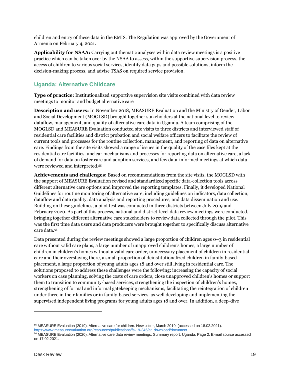children and entry of these data in the EMIS. The Regulation was approved by the Government of Armenia on February 4, 2021.

**Applicability for NSAA:** Carrying out thematic analyses within data review meetings is a positive practice which can be taken over by the NSAA to assess, within the supportive supervision process, the access of children to various social services, identify data gaps and possible solutions, inform the decision-making process, and advise TSAS on required service provision.

#### <span id="page-18-0"></span>**Uganda: Alternative Childcare**

**Type of practice:** Institutionalized supportive supervision site visits combined with data review meetings to monitor and budget alternative care

**Description and users:** In November 2018, MEASURE Evaluation and the Ministry of Gender, Labor and Social Development (MOGLSD) brought together stakeholders at the national level to review dataflow, management, and quality of alternative care data in Uganda. A team comprising of the MOGLSD and MEASURE Evaluation conducted site visits to three districts and interviewed staff of residential care facilities and district probation and social welfare officers to facilitate the review of current tools and processes for the routine collection, management, and reporting of data on alternative care. Findings from the site visits showed a range of issues in the quality of the case files kept at the residential care facilities, unclear mechanisms and processes for reporting data on alternative care, a lack of demand for data on foster care and adoption services, and few data-informed meetings at which data were reviewed and interpreted. 55

**Achievements and challenges:** Based on recommendations from the site visits, the MOGLSD with the support of MEASURE Evaluation revised and standardized specific data-collection tools across different alternative care options and improved the reporting templates. Finally, it developed National Guidelines for routine monitoring of alternative care, including guidelines on indicators, data collection, dataflow and data quality, data analysis and reporting procedures, and data dissemination and use. Building on these guidelines, a pilot test was conducted in three districts between July 2019 and February 2020. As part of this process, national and district-level data review meetings were conducted, bringing together different alternative care stakeholders to review data collected through the pilot. This was the first time data users and data producers were brought together to specifically discuss alternative care data. 56

Data presented during the review meetings showed a large proportion of children ages 0–3 in residential care without valid care plans, a large number of unapproved children's homes, a large number of children in children's homes without a valid care order, unnecessary placement of children in residential care and their overstaying there, a small proportion of deinstitutionalized children in family-based placement, a large proportion of young adults ages 18 and over still living in residential care. The solutions proposed to address these challenges were the following: increasing the capacity of social workers on case planning, solving the costs of care orders, close unapproved children's homes or support them to transition to community-based services, strengthening the inspection of children's homes, strengthening of formal and informal gatekeeping mechanisms, facilitating the reintegration of children under three in their families or in family-based services, as well developing and implementing the supervised independent living programs for young adults ages 18 and over. In addition, a deep-dive

<sup>55</sup> MEASURE Evaluation (2019). Alternative care for children. Newsletter, March 2019. (accessed on 18.02.2021). [https://www.measureevaluation.org/resources/publications/fs-19-345/at\\_download/document](https://www.measureevaluation.org/resources/publications/fs-19-345/at_download/document)

<sup>56</sup> MEASURE Evaluation (2020). Alternative care data review meetings: Summary report. Uganda. Page 2. E-mail source accessed on 17.02.2021.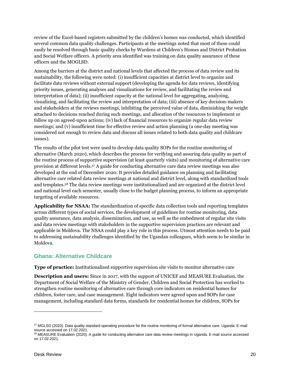review of the Excel-based registers submitted by the children's homes was conducted, which identified several common data quality challenges. Participants at the meetings noted that most of these could easily be resolved through basic quality checks by Wardens at Children's Homes and District Probation and Social Welfare officers. A priority area identified was training on data quality assurance of these officers and the MOGLSD.

Among the barriers at the district and national levels that affected the process of data review and its sustainability, the following were noted: (i) insufficient capacities at district level to organize and facilitate data reviews without external support (developing the agenda for data reviews, identifying priority issues, generating analyses and visualizations for review, and facilitating the review and interpretation of data); (ii) insufficient capacity at the national level for aggregating, analyzing, visualizing, and facilitating the review and interpretation of data; (iii) absence of key decision-makers and stakeholders at the reviews meetings, inhibiting the perceived value of data, diminishing the weight attached to decisions reached during such meetings, and allocation of the resources to implement or follow up on agreed-upon actions; (iv) lack of financial resources to organize regular data review meetings; and (v) insufficient time for effective review and action planning (a one-day meeting was considered not enough to review data and discuss all issues related to both data quality and childcare issues).

The results of the pilot test were used to develop data quality SOPs for the routine monitoring of alternative (March 2020), which describes the process for verifying and assuring data quality as part of the routine process of supportive supervision (at least quarterly visits) and monitoring of alternative care provision at different levels. <sup>57</sup> A guide for conducting alternative care data review meetings was also developed at the end of December 2020. It provides detailed guidance on planning and facilitating alternative care related data review meetings at national and district level, along with standardized tools and templates. <sup>58</sup> The data review meetings were institutionalized and are organized at the district level and national level each semester, usually close to the budget planning process, to inform an appropriate targeting of available resources.

**Applicability for NSAA:** The standardization of specific data collection tools and reporting templates across different types of social services, the development of guidelines for routine monitoring, data quality assurance, data analysis, dissemination, and use, as well as the embedment of regular site visits and data review meetings with stakeholders in the supportive supervision practices are relevant and applicable in Moldova. The NSAA could play a key role in this process. Utmost attention needs to be paid to addressing sustainability challenges identified by the Ugandan colleagues, which seem to be similar in Moldova.

#### <span id="page-19-0"></span>**Ghana: Alternative Childcare**

**Type of practice:** Institutionalized supportive supervision site visits to monitor alternative care

**Description and users:** Since in 2017, with the support of UNICEF and MEASURE Evaluation, the Department of Social Welfare of the Ministry of Gender, Children and Social Protection has worked to strengthen routine monitoring of alternative care through core indicators on residential homes for children, foster care, and case management. Eight indicators were agreed upon and SOPs for case management, including standard data forms, standards for residential homes for children, SOPs for

<sup>57</sup> MGLSD (2020). Data quality standard operating procedure for the routine monitoring of formal alternative care. Uganda. E-mail source accessed on 17.02.2021.

<sup>58</sup> MEASURE Evaluation (2020). A guide for conducting alternative care data review meetings in Uganda. E-mail source accessed on 17.02.2021.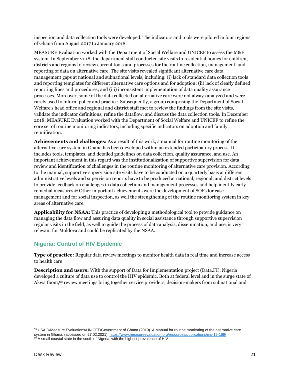inspection and data collection tools were developed. The indicators and tools were piloted in four regions of Ghana from August 2017 to January 2018.

MEASURE Evaluation worked with the Department of Social Welfare and UNICEF to assess the M&E system. In September 2018, the department staff conducted site visits to residential homes for children, districts and regions to review current tools and processes for the routine collection, management, and reporting of data on alternative care. The site visits revealed significant alternative care data management gaps at national and subnational levels, including: (i) lack of standard data collection tools and reporting templates for different alternative care options and for adoption; (ii) lack of clearly defined reporting lines and procedures; and (iii) inconsistent implementation of data quality assurance processes. Moreover, some of the data collected on alternative care were not always analyzed and were rarely used to inform policy and practice. Subsequently, a group comprising the Department of Social Welfare's head office and regional and district staff met to review the findings from the site visits, validate the indicator definitions, refine the dataflow, and discuss the data collection tools. In December 2018, MEASURE Evaluation worked with the Department of Social Welfare and UNICEF to refine the core set of routine monitoring indicators, including specific indicators on adoption and family reunification.

**Achievements and challenges:** As a result of this work, a manual for routine monitoring of the alternative care system in Ghana has been developed within an extended participatory process. It includes tools, templates, and detailed guidelines on data collection, quality assurance, and use. An important achievement in this regard was the institutionalization of supportive supervision for data review and identification of challenges in the routine monitoring of alternative care provision. According to the manual, supportive supervision site visits have to be conducted on a quarterly basis at different administrative levels and supervision reports have to be produced at national, regional, and district levels to provide feedback on challenges in data collection and management processes and help identify early remedial measures. <sup>59</sup> Other important achievements were the development of SOPs for case management and for social inspection, as well the strengthening of the routine monitoring system in key areas of alternative care.

**Applicability for NSAA:** This practice of developing a methodological tool to provide guidance on managing the data flow and assuring data quality in social assistance through supportive supervision regular visits in the field, as well to guide the process of data analysis, dissemination, and use, is very relevant for Moldova and could be replicated by the NSAA.

#### <span id="page-20-0"></span>**Nigeria: Control of HIV Epidemic**

**Type of practice:** Regular data review meetings to monitor health data in real time and increase access to health care

**Description and users:** With the support of Data for Implementation project (Data.FI), Nigeria developed a culture of data use to control the HIV epidemic. Both at federal level and in the surge state of Akwa Ibom, <sup>60</sup> review meetings bring together service providers, decision-makers from subnational and

<sup>59</sup> USAID/Measure Evaluations/UNICEF/Government of Ghana (2019). A Manual for routine monitoring of the alternative care system in Ghana. (accessed on 27.02.2021)[. https://www.measureevaluation.org/resources/publications/ms-19-169/](https://www.measureevaluation.org/resources/publications/ms-19-169/)  $60$  A small coastal state in the south of Nigeria, with the highest prevalence of HIV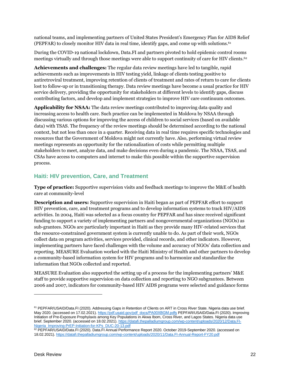national teams, and implementing partners of United States President's Emergency Plan for AIDS Relief (PEPFAR) to closely monitor HIV data in real time, identify gaps, and come up with solutions. 61

During the COVID-19 national lockdown, Data.FI and partners pivoted to hold epidemic control rooms meetings virtually and through those meetings were able to support continuity of care for HIV clients. 62

**Achievements and challenges:** The regular data review meetings have led to tangible, rapid achievements such as improvements in HIV testing yield, linkage of clients testing positive to antiretroviral treatment, improving retention of clients of treatment and rates of return to care for clients lost to follow-up or in transitioning therapy. Data review meetings have become a usual practice for HIV service delivery, providing the opportunity for stakeholders at different levels to identify gaps, discuss contributing factors, and develop and implement strategies to improve HIV care continuum outcomes.

**Applicability for NSAA:** The data review meetings contributed to improving data quality and increasing access to health care. Such practice can be implemented in Moldova by NSAA through discussing various options for improving the access of children to social services (based on available data) with TSAS. The frequency of the review meetings should be determined according to the national context, but not less than once in a quarter. Receiving data in real time requires specific technologies and resources that the Government of Moldova might not currently have. Also, performing virtual review meetings represents an opportunity for the rationalization of costs while permitting multiple stakeholders to meet, analyze data, and make decisions even during a pandemic. The NSAA, TSAS, and CSAs have access to computers and internet to make this possible within the supportive supervision process.

#### <span id="page-21-0"></span>**Haiti: HIV prevention, Care, and Treatment**

**Type of practice:** Supportive supervision visits and feedback meetings to improve the M&E of health care at community-level

**Description and users:** Supportive supervision in Haiti began as part of PEPFAR effort to support HIV prevention, care, and treatment programs and to develop information systems to track HIV/AIDS activities. In 2004, Haiti was selected as a focus country for PEPFAR and has since received significant funding to support a variety of implementing partners and nongovernmental organizations (NGOs) as sub-grantees. NGOs are particularly important in Haiti as they provide many HIV-related services that the resource-constrained government system is currently unable to do. As part of their work, NGOs collect data on program activities, services provided, clinical records, and other indicators. However, implementing partners have faced challenges with the volume and accuracy of NGOs' data collection and reporting. MEASURE Evaluation worked with the Haiti Ministry of Health and other partners to develop a community-based information system for HIV programs and to harmonize and standardize the information that NGOs collected and reported.

MEASURE Evaluation also supported the setting up of a process for the implementing partners' M&E staff to provide supportive supervision on data collection and reporting to NGO subgrantees. Between 2006 and 2007, indicators for community-based HIV AIDS programs were selected and guidance forms

<sup>&</sup>lt;sup>61</sup> PEPFAR/USAID/Data.FI (2020). Addressing Gaps in Retention of Clients on ART in Cross River State. Nigeria data use brief. May 2020. (accessed on 17.02.2021). https://pdf.usaid.gov/pdf\_docs/PA00XBGM.pdfs PEPFAR/USAID/Data.FI (2020). Improving Initiation of Pre-Exposure Prophylaxis among Key Populations in Akwa Ibom, Cross River, and Lagos States. Nigeria data use brief. September 2020. (accessed on 18.02.2021). [https://datafi.thepalladiumgroup.com/wp-content/uploads/2020/12/Data.FI-](https://datafi.thepalladiumgroup.com/wp-content/uploads/2020/12/Data.FI-Nigeria_Improving-PrEP-Initiation-for-KPs_DUC-20-13.pdf)[Nigeria\\_Improving-PrEP-Initiation-for-KPs\\_DUC-20-13.pdf](https://datafi.thepalladiumgroup.com/wp-content/uploads/2020/12/Data.FI-Nigeria_Improving-PrEP-Initiation-for-KPs_DUC-20-13.pdf)

<sup>62</sup> PEPFAR/USAID/Data.FI (2020). Data.FI Annual Performance Report 2020. October 2019-September 2020. (accessed on 18.02.2021). <https://datafi.thepalladiumgroup.com/wp-content/uploads/2020/11/Data.FI-Annual-Report-FY20.pdf>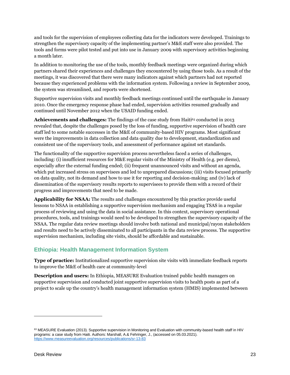and tools for the supervision of employees collecting data for the indicators were developed. Trainings to strengthen the supervisory capacity of the implementing partner's M&E staff were also provided. The tools and forms were pilot tested and put into use in January 2009 with supervisory activities beginning a month later.

In addition to monitoring the use of the tools, monthly feedback meetings were organized during which partners shared their experiences and challenges they encountered by using those tools. As a result of the meetings, it was discovered that there were many indicators against which partners had not reported because they experienced problems with the information system. Following a review in September 2009, the system was streamlined, and reports were shortened.

Supportive supervision visits and monthly feedback meetings continued until the earthquake in January 2010. Once the emergency response phase had ended, supervision activities resumed gradually and continued until November 2012 when the USAID funding ended.

Achievements and challenges: The findings of the case study from Haiti<sup>63</sup> conducted in 2013 revealed that, despite the challenges posed by the loss of funding, supportive supervision of health care staff led to some notable successes in the M&E of community-based HIV programs. Most significant were the improvements in data collection and data quality due to development, standardization and consistent use of the supervisory tools, and assessment of performance against set standards.

The functionality of the supportive supervision process nevertheless faced a series of challenges, including: (i) insufficient resources for M&E regular visits of the Ministry of Health (e.g. per diems), especially after the external funding ended; (ii) frequent unannounced visits and without an agenda, which put increased stress on supervisees and led to unprepared discussions; (iii) visits focused primarily on data quality, not its demand and how to use it for reporting and decision-making; and (iv) lack of dissemination of the supervisory results reports to supervisees to provide them with a record of their progress and improvements that need to be made.

**Applicability for NSAA:** The results and challenges encountered by this practice provide useful lessons to NSAA in establishing a supportive supervision mechanism and engaging TSAS in a regular process of reviewing and using the data in social assistance. In this context, supervisory operational procedures, tools, and trainings would need to be developed to strengthen the supervisory capacity of the NSAA. The regular data review meetings should involve both national and municipal/rayon stakeholders and results need to be actively disseminated to all participants in the data review process. The supportive supervision mechanism, including site visits, should be affordable and sustainable.

#### <span id="page-22-0"></span>**Ethiopia: Health Management Information System**

**Type of practice:** Institutionalized supportive supervision site visits with immediate feedback reports to improve the M&E of health care at community-level

**Description and users:** In Ethiopia, MEASURE Evaluation trained public health managers on supportive supervision and conducted joint supportive supervision visits to health posts as part of a project to scale up the country's health management information system (HMIS) implemented between

<sup>63</sup> MEASURE Evaluation (2013). Supportive supervision in Monitoring and Evaluation with community-based health staff in HIV programs: a case study from Haiti. Authors: Marshall, A.& Fehringer, J., (accessed on 05.03.2021). <https://www.measureevaluation.org/resources/publications/sr-13-83>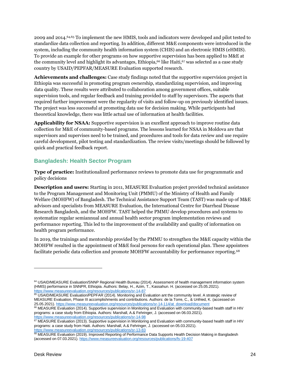2009 and 2014. 64,65 To implement the new HMIS, tools and indicators were developed and pilot tested to standardize data collection and reporting. In addition, different M&E components were introduced in the system, including the community health information system (CHIS) and an electronic HMIS (eHMIS). To provide an example for other programs on how supportive supervision has been applied to M&E at the community level and highlight its advantages, Ethiopia, <sup>66</sup> like Haiti, <sup>67</sup> was selected as a case study country by USAID/PEPFAR/MEASURE Evaluation supported research.

**Achievements and challenges:** Case study findings noted that the supportive supervision project in Ethiopia was successful in promoting program ownership, standardizing supervision, and improving data quality. These results were attributed to collaboration among government offices, suitable supervision tools, and regular feedback and training provided to staff by supervisors. The aspects that required further improvement were the regularity of visits and follow-up on previously identified issues. The project was less successful at promoting data use for decision making. While participants had theoretical knowledge, there was little actual use of information at health facilities.

**Applicability for NSAA:** Supportive supervision is an excellent approach to improve routine data collection for M&E of community-based programs. The lessons learned for NSAA in Moldova are that supervisors and supervises need to be trained, and procedures and tools for data review and use require careful development, pilot testing and standardization. The review visits/meetings should be followed by quick and practical feedback report.

#### <span id="page-23-0"></span>**Bangladesh: Health Sector Program**

**Type of practice:** Institutionalized performance reviews to promote data use for programmatic and policy decisions

**Description and users:** Starting in 2011, MEASURE Evaluation project provided technical assistance to the Program Management and Monitoring Unit (PMMU) of the Ministry of Health and Family Welfare (MOHFW) of Bangladesh. The Technical Assistance Support Team (TAST) was made up of M&E advisors and specialists from MEASURE Evaluation, the International Centre for Diarrheal Disease Research Bangladesh, and the MOHFW. TAST helped the PMMU develop procedures and systems to systematize regular semiannual and annual health sector program implementation reviews and performance reporting. This led to the improvement of the availability and quality of information on health program performance.

In 2019, the trainings and mentorship provided by the PMMU to strengthen the M&E capacity within the MOHFW resulted in the appointment of M&E focal persons for each operational plan. These appointees facilitate periodic data collection and promote MOHFW accountability for performance reporting. 68

<sup>64</sup> USAID/MEASURE Evaluation/SNNP Regional Health Bureau (2014). Assessment of health management information system (HMIS) performance in SNNPR, Ethiopia. Authors: Belay, H., Azim, T., Kassahun. H. (accessed on 25.05.2021). <https://www.measureevaluation.org/resources/publications/sr-14-87>

<sup>&</sup>lt;sup>65</sup> USAID/MEASURE Evaluation/PEPFAR (2014). Monitoring and Evaluation ant the community level. A strategic review of MEASURE Evaluation, Phase III accomplishments and contributions. Authors: de la Torre, C., & Unfried, K. (accessed on 25.05.2021)[. https://www.measureevaluation.org/resources/publications/sr-14-114/at\\_download/document](https://www.measureevaluation.org/resources/publications/sr-14-114/at_download/document)

**<sup>66</sup> MEASURE Evaluation (2014). Supportive supervision in Monitoring and Evaluation with community-based health staff in HIV** programs: a case study from Ethiopia. Authors: Marshall, A.& Fehringer, J. (accessed on 06.03.2021). <https://www.measureevaluation.org/resources/publications/sr-14-98>

 $67$  MEASURE Evaluation (2013). Supportive supervision in Monitoring and Evaluation with community-based health staff in HIV programs: a case study from Haiti. Authors: Marshall, A.& Fehringer, J. (accessed on 05.03.2021). <https://www.measureevaluation.org/resources/publications/sr-13-83>

<sup>68</sup> MEASURE Evaluation (2019). Improved Reporting of Performance Data Supports Health Decision Making in Bangladesh (accessed on 07.03.2021)[. https://www.measureevaluation.org/resources/publications/fs-19-407](https://www.measureevaluation.org/resources/publications/fs-19-407)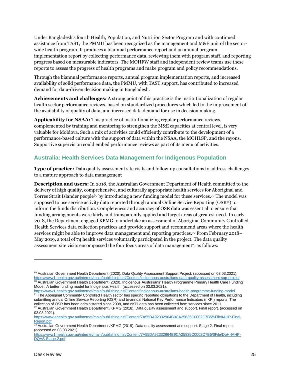Under Bangladesh's fourth Health, Population, and Nutrition Sector Program and with continued assistance from TAST, the PMMU has been recognized as the management and M&E unit of the sectorwide health program. It produces a biannual performance report and an annual program implementation report by collecting performance data, reviewing them with program staff, and reporting progress based on measurable indicators. The MOHFW staff and independent review teams use these reports to assess the progress of health programs and make program and policy recommendations.

Through the biannual performance reports, annual program implementation reports, and increased availability of solid performance data, the PMMU, with TAST support, has contributed to increased demand for data-driven decision making in Bangladesh.

**Achievements and challenges:** A strong point of this practice is the institutionalization of regular health sector performance reviews, based on standardized procedures which led to the improvement of the availability of quality of data, and increased data demand for use in decision making.

**Applicability for NSAA:** This practice of institutionalizing regular performance reviews, complemented by training and mentoring to strengthen the M&E capacities at central level, is very valuable for Moldova. Such a mix of activities could efficiently contribute to the development of a performance-based culture with the support of data within the NSAA, the MOHLSP, and the rayons. Supportive supervision could embed performance reviews as part of its menu of activities.

#### <span id="page-24-0"></span>**Australia: Health Services Data Management for Indigenous Population**

**Type of practice:** Data quality assessment site visits and follow-up consultations to address challenges to a mature approach to data management

**Description and users:** In 2018, the Australian Government Department of Health committed to the delivery of high quality, comprehensive, and culturally appropriate health services for Aboriginal and Torres Strait Islander people<sup>69</sup> by introducing a new funding model for these services. <sup>70</sup> The model was supposed to use service activity data reported through annual Online Service Reporting  $(OSR<sup>71</sup>)$  to inform the funds distribution. Completeness and accuracy of OSR data was essential to ensure that funding arrangements were fairly and transparently applied and target areas of greatest need. In early 2018, the Department engaged KPMG to undertake an assessment of Aboriginal Community Controlled Health Services data collection practices and provide support and recommend areas where the health services might be able to improve data management and reporting practices. <sup>72</sup> From February 2018– May 2019, a total of 74 health services voluntarily participated in the project. The data quality assessment site visits encompassed the four focus areas of data management<sup>73</sup> as follows:

<https://www1.health.gov.au/internet/main/publishing.nsf/Content/indigenous-australians-health-programme-funding-model> <sup>71</sup> The Aboriginal Community Controlled Health sector has specific reporting obligations to the Department of Health, including submitting annual Online Service Reporting (OSR) and bi-annual National Key Performance Indicators (nKPI) reports. The collection of OSR has been administered since 2008, and nKPI data has been collected from services since 2011. <sup>72</sup> Australian Government Health Department /KPMG (2018). Data quality assessment and support. Final report. (accessed on

<sup>69</sup> Australian Government Health Department (2020). Data Quality Assessment Support Project. (accessed on 03.03.2021). <https://www1.health.gov.au/internet/main/publishing.nsf/Content/indigenous-australians-data-quality-assessment-sup-project>  $^{70}$  Australian Government Health Department (2020). Indigenous Australians' Health Programme Primary Health Care Funding Model. A better funding model for Indigenous Health. (accessed on 03.03.2021).

<sup>03.03.2021).</sup>  [https://www.ehealth.gov.au/internet/main/publishing.nsf/Content/7A55DA92332964B9CA25835C0002C7B5/\\$File/IAHP-Final-](https://www.ehealth.gov.au/internet/main/publishing.nsf/Content/7A55DA92332964B9CA25835C0002C7B5/$File/IAHP-Final-Report.pdf)

[Report.pdf](https://www.ehealth.gov.au/internet/main/publishing.nsf/Content/7A55DA92332964B9CA25835C0002C7B5/$File/IAHP-Final-Report.pdf)

<sup>&</sup>lt;sup>73</sup> Australian Government Health Department /KPMG (2019). Data quality assessment and support. Stage 2. Final report. (accessed on 03.03.2021).

[https://www1.health.gov.au/internet/main/publishing.nsf/Content/7A55DA92332964B9CA25835C0002C7B5/\\$File/DoH-IAHP-](https://www1.health.gov.au/internet/main/publishing.nsf/Content/7A55DA92332964B9CA25835C0002C7B5/$File/DoH-IAHP-DQAS-Stage-2.pdf)[DQAS-Stage-2.pdf](https://www1.health.gov.au/internet/main/publishing.nsf/Content/7A55DA92332964B9CA25835C0002C7B5/$File/DoH-IAHP-DQAS-Stage-2.pdf)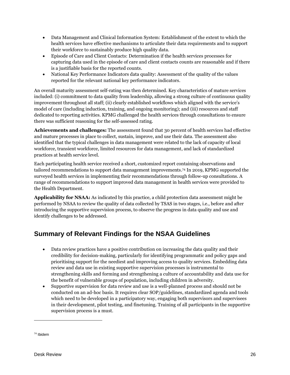- Data Management and Clinical Information System: Establishment of the extent to which the health services have effective mechanisms to articulate their data requirements and to support their workforce to sustainably produce high quality data.
- Episode of Care and Client Contacts: Determination if the health services processes for capturing data used in the episode of care and client contacts counts are reasonable and if there is a justifiable basis for the reported counts.
- National Key Performance Indicators data quality: Assessment of the quality of the values reported for the relevant national key performance indicators.

An overall maturity assessment self-rating was then determined. Key characteristics of mature services included: (i) commitment to data quality from leadership, allowing a strong culture of continuous quality improvement throughout all staff; (ii) clearly established workflows which aligned with the service's model of care (including induction, training, and ongoing monitoring); and (iii) resources and staff dedicated to reporting activities. KPMG challenged the health services through consultations to ensure there was sufficient reasoning for the self-assessed rating.

**Achievements and challenges:** The assessment found that 30 percent of health services had effective and mature processes in place to collect, sustain, improve, and use their data. The assessment also identified that the typical challenges in data management were related to the lack of capacity of local workforce, transient workforce, limited resources for data management, and lack of standardized practices at health service level.

Each participating health service received a short, customized report containing observations and tailored recommendations to support data management improvements. <sup>74</sup> In 2019, KPMG supported the surveyed health services in implementing their recommendations through follow-up consultations. A range of recommendations to support improved data management in health services were provided to the Health Department.

**Applicability for NSAA:** As indicated by this practice, a child protection data assessment might be performed by NSAA to review the quality of data collected by TSAS in two stages, i.e., before and after introducing the supportive supervision process, to observe the progress in data quality and use and identify challenges to be addressed.

## <span id="page-25-0"></span>**Summary of Relevant Findings for the NSAA Guidelines**

- Data review practices have a positive contribution on increasing the data quality and their credibility for decision-making, particularly for identifying programmatic and policy gaps and prioritising support for the neediest and improving access to quality services. Embedding data review and data use in existing supportive supervision processes is instrumental to strengthening skills and forming and strengthening a culture of accountability and data use for the benefit of vulnerable groups of population, including children in adversity.
- Supportive supervision for data review and use is a well-planned process and should not be conducted on an ad-hoc basis. It requires clear SOP/guidelines, standardized agenda and tools which need to be developed in a participatory way, engaging both supervisors and supervisees in their development, pilot testing, and finetuning. Training of all participants in the supportive supervision process is a must.

<sup>74</sup> Ibidem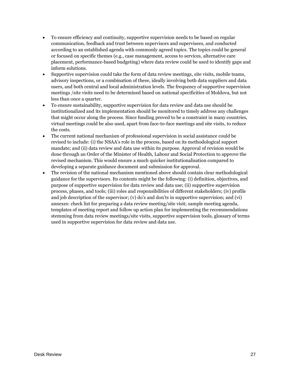- To ensure efficiency and continuity, supportive supervision needs to be based on regular communication, feedback and trust between supervisors and supervisees, and conducted according to an established agenda with commonly agreed topics. The topics could be general or focused on specific themes (e.g., case management, access to services, alternative care placement, performance-based budgeting) where data review could be used to identify gaps and inform solutions.
- Supportive supervision could take the form of data review meetings, site visits, mobile teams, advisory inspections, or a combination of these, ideally involving both data suppliers and data users, and both central and local administration levels. The frequency of supportive supervision meetings /site visits need to be determined based on national specificities of Moldova, but not less than once a quarter.
- To ensure sustainability, supportive supervision for data review and data use should be institutionalized and its implementation should be monitored to timely address any challenges that might occur along the process. Since funding proved to be a constraint in many countries, virtual meetings could be also used, apart from face-to-face meetings and site visits, to reduce the costs.
- The current national mechanism of professional supervision in social assistance could be revised to include: (i) the NSAA's role in the process, based on its methodological support mandate; and (ii) data review and data use within its purpose. Approval of revision would be done through an Order of the Minister of Health, Labour and Social Protection to approve the revised mechanism. This would ensure a much quicker institutionalisation compared to developing a separate guidance document and submission for approval.
- The revision of the national mechanism mentioned above should contain clear methodological guidance for the supervisors. Its contents might be the following: (i) definition, objectives, and purpose of supportive supervision for data review and data use; (ii) supportive supervision process, phases, and tools; (iii) roles and responsibilities of different stakeholders; (iv) profile and job description of the supervisor; (v) do's and don'ts in supportive supervision; and (vi) annexes: check list for preparing a data review meeting/site visit; sample meeting agenda, templates of meeting report and follow up action plan for implementing the recommendations stemming from data review meetings/site visits, supportive supervision tools, glossary of terms used in supportive supervision for data review and data use.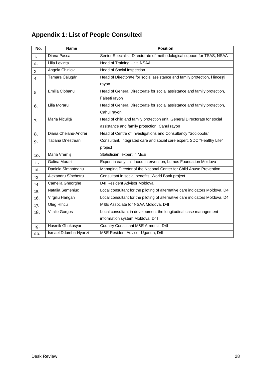## <span id="page-27-0"></span>**Appendix 1: List of People Consulted**

| No. | <b>Name</b>              | <b>Position</b>                                                               |  |  |
|-----|--------------------------|-------------------------------------------------------------------------------|--|--|
| 1.  | Diana Pascal             | Senior Specialist, Directorate of methodological support for TSAS, NSAA       |  |  |
| 2.  | Lilia Levința            | Head of Training Unit, NSAA                                                   |  |  |
| 3.  | Angela Chirilov          | <b>Head of Social Inspection</b>                                              |  |  |
| 4.  | Tamara Călugăr           | Head of Directorate for social assistance and family protection, Hîncești     |  |  |
|     |                          | rayon                                                                         |  |  |
| 5.  | Emilia Ciobanu           | Head of General Directorate for social assistance and family protection,      |  |  |
|     |                          | Fălești rayon                                                                 |  |  |
| 6.  | Lilia Moraru             | Head of General Directorate for social assistance and family protection,      |  |  |
|     |                          | Cahul rayon                                                                   |  |  |
| 7.  | Maria Niculiță           | Head of child and family protection unit, General Directorate for social      |  |  |
|     |                          | assistance and family protection, Cahul rayon                                 |  |  |
| 8.  | Diana Cheianu-Andrei     | Head of Centre of Investigations and Consultancy "Sociopolis"                 |  |  |
| 9.  | <b>Tatiana Dnestrean</b> | Consultant, Integrated care and social care expert, SDC "Healthy Life"        |  |  |
|     |                          | project                                                                       |  |  |
| 10. | Maria Vremis             | Statistician, expert in M&E                                                   |  |  |
| 11. | Galina Morari            | Expert in early childhood intervention, Lumos Foundation Moldova              |  |  |
| 12. | Daniela Sîmboteanu       | Managing Director of the National Center for Child Abuse Prevention           |  |  |
| 13. | Alexandru Sînchetru      | Consultant in social benefits, World Bank project                             |  |  |
| 14. | Camelia Gheorghe         | D4I Resident Advisor Moldova                                                  |  |  |
| 15. | Natalia Semeniuc         | Local consultant for the piloting of alternative care indicators Moldova, D4I |  |  |
| 16. | Virgiliu Hangan          | Local consultant for the piloting of alternative care indicators Moldova, D4I |  |  |
| 17. | Oleg Hîncu               | M&E Associate for NSAA Moldova, D4I                                           |  |  |
| 18. | Vitalie Gorgos           | Local consultant in development the longitudinal case management              |  |  |
|     |                          | information system Moldova, D4I                                               |  |  |
| 19. | Hasmik Ghukasyan         | Country Consultant M&E Armenia, D4I                                           |  |  |
| 20. | Ismael Ddumba-Nyanzi     | M&E Resident Advisor Uganda, D4I                                              |  |  |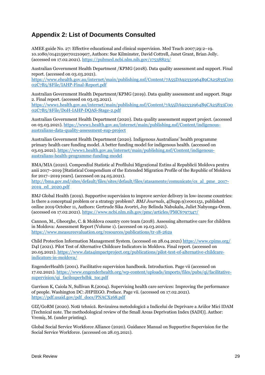## <span id="page-28-0"></span>**Appendix 2: List of Documents Consulted**

AMEE guide No. 27: Effective educational and clinical supervision. Med Teach 2007;29:2–19. 10.1080/01421590701210907, Authors: Sue Kilminster, David Cottrell, Janet Grant, Brian Jolly. (accessed on 17.02.2021)[. https://pubmed.ncbi.nlm.nih.gov/17538823/](https://pubmed.ncbi.nlm.nih.gov/17538823/)

Australian Government Health Department /KPMG (2018). Data quality assessment and support. Final report. (accessed on 03.03.2021).

[https://www.ehealth.gov.au/internet/main/publishing.nsf/Content/7A55DA92332964B9CA25835C00](https://www.ehealth.gov.au/internet/main/publishing.nsf/Content/7A55DA92332964B9CA25835C0002C7B5/$File/IAHP-Final-Report.pdf) [02C7B5/\\$File/IAHP-Final-Report.pdf](https://www.ehealth.gov.au/internet/main/publishing.nsf/Content/7A55DA92332964B9CA25835C0002C7B5/$File/IAHP-Final-Report.pdf)

Australian Government Health Department/KPMG (2019). Data quality assessment and support. Stage 2. Final report. (accessed on 03.03.2021).

[https://www1.health.gov.au/internet/main/publishing.nsf/Content/7A55DA92332964B9CA25835C00](https://www1.health.gov.au/internet/main/publishing.nsf/Content/7A55DA92332964B9CA25835C0002C7B5/$File/DoH-IAHP-DQAS-Stage-2.pdf) [02C7B5/\\$File/DoH-IAHP-DQAS-Stage-2.pdf](https://www1.health.gov.au/internet/main/publishing.nsf/Content/7A55DA92332964B9CA25835C0002C7B5/$File/DoH-IAHP-DQAS-Stage-2.pdf)

Australian Government Health Department (2020). Data quality assessment support project. (accessed on 03.03.2021). [https://www1.health.gov.au/internet/main/publishing.nsf/Content/indigenous](https://www1.health.gov.au/internet/main/publishing.nsf/Content/indigenous-australians-data-quality-assessment-sup-project)[australians-data-quality-assessment-sup-project](https://www1.health.gov.au/internet/main/publishing.nsf/Content/indigenous-australians-data-quality-assessment-sup-project)

Australian Government Health Department (2020). Indigenous Australians' health programme primary health care funding model. A better funding model for indigenous health. (accessed on 03.03.2021)[. https://www1.health.gov.au/internet/main/publishing.nsf/Content/indigenous](https://www1.health.gov.au/internet/main/publishing.nsf/Content/indigenous-australians-health-programme-funding-model)[australians-health-programme-funding-model](https://www1.health.gov.au/internet/main/publishing.nsf/Content/indigenous-australians-health-programme-funding-model)

BMA/MIA (2020). Compendiul Statistic al Profilului Migrațional Extins al Republicii Moldova pentru anii 2017–2019 [Statistical Compendium of the Extended Migration Profile of the Republic of Moldova for 2017–2019 years]. (accessed on 24.05.2021).

[http://bma.gov.md/sites/default/files/sites/default/files/atasamente/comunicate/cs\\_al\\_pme\\_2017-](http://bma.gov.md/sites/default/files/sites/default/files/atasamente/comunicate/cs_al_pme_2017-2019_ed_2020.pdf) [2019\\_ed\\_2020.pdf](http://bma.gov.md/sites/default/files/sites/default/files/atasamente/comunicate/cs_al_pme_2017-2019_ed_2020.pdf)

BMJ Global Health (2019). Supportive supervision to improve service delivery in low-income countries: Is there a conceptual problem or a strategy problem?. *BMJ Journals*, 4(Supp.9):e001151, published online 2019 October 11, Authors: Gertrude Sika Avortri, Joy Belinda Nabukalu, Juliet Nabyonga-Orem. (accessed on 17.02.2021). <https://www.ncbi.nlm.nih.gov/pmc/articles/PMC6797347/>

Cannon, M., Gheorghe, C. & Moldova country core team (2018). Assessing alternative care for children in Moldova: Assessment Report (Volume 1). (accessed on 19.03.2021). <https://www.measureevaluation.org/resources/publications/tr-18-262a>

Child Protection Information Management System. (accessed on 28.04.2021[\) https://www.cpims.org/](https://www.cpims.org/) D4I (2021). Pilot Test of Alternative Childcare Indicators in Moldova. Final report. (accessed on 20.05.2021)[. https://www.data4impactproject.org/publications/pilot-test-of-alternative-childcare](https://www.data4impactproject.org/publications/pilot-test-of-alternative-childcare-indicators-in-moldova/)[indicators-in-moldova/](https://www.data4impactproject.org/publications/pilot-test-of-alternative-childcare-indicators-in-moldova/)

EngenderHealth (2001). Facilitative supervision handbook. Introduction. Page vii (accessed on 17.02.2021). [https://www.engenderhealth.org/wp-content/uploads/imports/files/pubs/qi/facilitative](https://www.engenderhealth.org/wp-content/uploads/imports/files/pubs/qi/facilitative-supervision/qi_facilsuperhdbk_toc.pdf)[supervision/qi\\_facilsuperhdbk\\_toc.pdf](https://www.engenderhealth.org/wp-content/uploads/imports/files/pubs/qi/facilitative-supervision/qi_facilsuperhdbk_toc.pdf)

Garrison K, Caiola N, Sullivan R.(2004). Supervising health care services: Improving the performance of people. Washington DC: JHPIEGO. Preface. Page vii. (accessed on 17.02.2021). [https://pdf.usaid.gov/pdf\\_docs/PNACX168.pdf](https://pdf.usaid.gov/pdf_docs/PNACX168.pdf)

GIZ/GoRM (2020). Notă tehnică. Revizuirea metodologică a Indicelui de Deprivare a Ariilor Mici IDAM [Technical note. The methodological review of the Small Areas Deprivation Index (SADI)]. Author: Vremiș, M. (under printing).

Global Social Service Workforce Alliance (2020). Guidance Manual on Supportive Supervision for the Social Service Workforce. (accessed on 28.03.2021).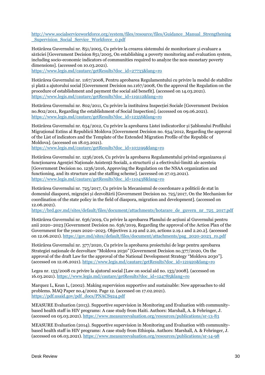[http://www.socialserviceworkforce.org/system/files/resource/files/Guidance\\_Manual\\_Strengthening](http://www.socialserviceworkforce.org/system/files/resource/files/Guidance_Manual_Strengthening_Supervision_Social_Service_Workforce_0.pdf) [\\_Supervision\\_Social\\_Service\\_Workforce\\_0.pdf](http://www.socialserviceworkforce.org/system/files/resource/files/Guidance_Manual_Strengthening_Supervision_Social_Service_Workforce_0.pdf)

Hotărârea Guvernului nr. 851/2005, Cu privire la crearea sistemului de monitorizare și evaluare a sărăciei [Government Decision 851/2005, On establishing a poverty monitoring and evaluation system, including socio-economic indicators of communities required to analyze the non-monetary poverty dimensions]. (accessed on 10.03.2021).

[https://www.legis.md/cautare/getResults?doc\\_id=27733&lang=ro](https://www.legis.md/cautare/getResults?doc_id=27733&lang=ro)

Hotărârea Guvernului nr. 1167/2008, Pentru aprobarea Regulamentului cu privire la modul de stabilire și plată a ajutorului social [Government Decision no.1167/2008, On the approval the Regulation on the procedure of establishment and payment the social aid benefit]. (accessed on 14.03.2021). [https://www.legis.md/cautare/getResults?doc\\_id=119112&lang=ro](https://www.legis.md/cautare/getResults?doc_id=119112&lang=ro)

Hotărârea Guvernului nr. 802/2011, Cu privire la instituirea Inspecției Sociale [Government Decision no.802/2011, Regarding the establishment of Social Inspection]. (accessed on 09.06.2021). [https://www.legis.md/cautare/getResults?doc\\_id=12356&lang=ro](https://www.legis.md/cautare/getResults?doc_id=12356&lang=ro)

Hotărârea Guvernului nr. 634/2012, Cu privire la aprobarea Listei indicatorilor și Șablonului Profilului Migrațional Extins al Republicii Moldova [Government Decision no. 634/2012, Regarding the approval of the List of indicators and the Template of the Extended Migration Profile of the Republic of Moldova]. (accessed on 18.03.2021).

[https://www.legis.md/cautare/getResults?doc\\_id=103199&lang=ro](https://www.legis.md/cautare/getResults?doc_id=103199&lang=ro)

Hotărârea Guvernului nr. 1236/2016, Cu privire la aprobarea Regulamentului privind organizarea și funcționarea Agenției Naționale Asistență Socială, a structurii și a efectivului-limită ale acesteia [Government Decision no. 1236/2016, Approving the Regulation on the NSAA organization and functioning, and its structure and the staffing scheme]. (accessed on 27.03.2021). [https://www.legis.md/cautare/getResults?doc\\_id=110438&lang=ro](https://www.legis.md/cautare/getResults?doc_id=110438&lang=ro)

Hotărârea Guvernului nr. 725/2017, Cu privire la Mecanismul de coordonare a politicii de stat în domeniul diasporei, migrației și dezvoltării [Government Decision no. 725/2017, On the Mechanism for coordination of the state policy in the field of diaspora, migration and development]. (accessed on 12.06.2021).

[https://brd.gov.md/sites/default/files/document/attachments/hotarare\\_de\\_guvern\\_nr\\_725\\_2017.pdf](https://brd.gov.md/sites/default/files/document/attachments/hotarare_de_guvern_nr_725_2017.pdf)

Hotărârea Guvernului nr. 636/2019, Cu privire la aprobarea Planului de acțiuni al Guvernului pentru anii 2020–2023 [Government Decision no. 636/2019, Regarding the approval of the Action Plan of the Government for the years 2020–2023. Objectives 2.19 and 2.20, actions 2.19.1 and 2.20.2]. (accessed on 12.06.2021)[. https://gov.md/sites/default/files/document/attachments/pag\\_2020-2023\\_ro.pdf](https://gov.md/sites/default/files/document/attachments/pag_2020-2023_ro.pdf)

Hotărârea Guvernului nr. 377/2020, Cu privire la aprobarea proiectului de lege pentru aprobarea Strategiei naționale de dezvoltare "Moldova 2030" [Government Decision no.377/2020, On the approval of the draft Law for the approval of the National Development Strategy "Moldova 2030"]. (accessed on 12.06.2021). [https://www.legis.md/cautare/getResults?doc\\_id=121920&lang=ro](https://www.legis.md/cautare/getResults?doc_id=121920&lang=ro)

Legea nr. 133/2008 cu privire la ajutorul social [Law on social aid no. 133/2008]. (accessed on 16.03.2021)[. https://www.legis.md/cautare/getResults?doc\\_id=124785&lang=ro](https://www.legis.md/cautare/getResults?doc_id=124785&lang=ro)

Marquez L, Kean L, (2002). Making supervision supportive and sustainable: New approaches to old problems. MAQ Paper no.4/2002. Page 12. (accessed on 17.02.2021). [https://pdf.usaid.gov/pdf\\_docs/PNACS924.pdf](https://pdf.usaid.gov/pdf_docs/PNACS924.pdf)

MEASURE Evaluation (2013). Supportive supervision in Monitoring and Evaluation with communitybased health staff in HIV programs: A case study from Haiti. Authors: Marshall, A. & Fehringer, J. (accessed on 05.03.2021)[. https://www.measureevaluation.org/resources/publications/sr-13-83](https://www.measureevaluation.org/resources/publications/sr-13-83)

MEASURE Evaluation (2014). Supportive supervision in Monitoring and Evaluation with communitybased health staff in HIV programs: A case study from Ethiopia. Authors: Marshall, A. & Fehringer, J. (accessed on 06.03.2021).<https://www.measureevaluation.org/resources/publications/sr-14-98>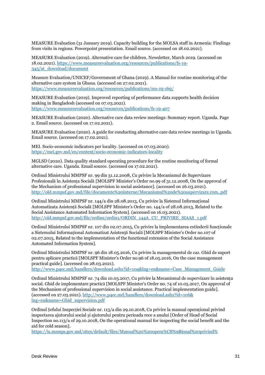MEASURE Evaluation (31 January 2019). Capacity building for the MOLSA staff in Armenia: Findings from visits in regions. Powerpoint presentation. Email source. (accessed on 18.02.2021).

MEASURE Evaluation (2019). Alternative care for children. Newsletter, March 2019. (accessed on 18.02.2021). [https://www.measureevaluation.org/resources/publications/fs-19-](https://www.measureevaluation.org/resources/publications/fs-19-345/at_download/document) [345/at\\_download/document](https://www.measureevaluation.org/resources/publications/fs-19-345/at_download/document)

Measure Evaluation/UNICEF/Government of Ghana (2019). A Manual for routine monitoring of the alternative care system in Ghana. (accessed on 27.02.2021). <https://www.measureevaluation.org/resources/publications/ms-19-169/>

MEASURE Evaluation (2019). Improved reporting of performance data supports health decision making in Bangladesh (accessed on 07.03.2021). <https://www.measureevaluation.org/resources/publications/fs-19-407>

MEASURE Evaluation (2020). Alternative care data review meetings: Summary report. Uganda. Page 2. Email source. (accessed on 17.02.2021).

MEASURE Evaluation (2020). A guide for conducting alternative care data review meetings in Uganda. Email source. (accessed on 17.02.2021).

MEI. Socio-economic indicators per locality. (accessed on 07.03.2020). <https://mei.gov.md/en/content/socio-economic-indicators-locality>

MGLSD (2020). Data quality standard operating procedure for the routine monitoring of formal alternative care. Uganda. Email source. (accessed on 17.02.2021).

Ordinul Ministrului MMPSF nr. 99 din 31.12.2008, Cu privire la Mecanismul de Supervizare Profesională în Asistența Socială [MOLSPF Minister's Order no.99 of 31.12.2008, On the approval of the Mechanism of professional supervision in social assistance]. (accessed on 26.03.2021). <http://old.mmpsf.gov.md/file/documente%20interne/Mecanismul%20de%20supervizare.rom..pdf>

Ordinul Ministrului MMPSF nr. 144/a din 28.08.2013, Cu privire la Sistemul Informațional Automatizata Asistență Socială [MOLSPF Minister's Order no. 144/a of 28.08.2013, Related to the Social Assistance Automated Information System]. (accessed on 16.03.2021). [http://old.mmpsf.gov.md/file/ordine/ordin1/ORDIN\\_144A\\_CU\\_PRIVIRE\\_SIAAS\\_1.pdf](http://old.mmpsf.gov.md/file/ordine/ordin1/ORDIN_144A_CU_PRIVIRE_SIAAS_1.pdf)

Ordinul Ministrului MMPSF nr. 107 din 02.07.2015, Cu privire la implementarea extinderii funcționale a Sistemului Informațional Automatizat Asistență Socială [MOLSPF Minister's Order no.107 of 02.07.2015, Related to the implementation of the functional extension of the Social Assistance Automated Information System].

Ordinul Ministrului MMPSF nr. 96 din 18.05.2016, Cu privire la managementul de caz. Ghid de suport pentru aplicare practică [MOLSPF Minister's Order no.96 of 18.05.2016, On the case management practical guide]. (accessed on 28.03.2021).

[http://www.p4ec.md/handlers/download.ashx?id=104&lng=en&name=Case\\_Management\\_Guide](http://www.p4ec.md/handlers/download.ashx?id=104&lng=en&name=Case_Management_Guide)

Ordinul Ministrului MMPSF nr. 74 din 10.05.2017, Cu privire la Mecanismul de supervizare în asistența social. Ghid de implementare practică [MOLSPF Minister's Order no. 74 of 10.05.2017, On approval of the Mechanism of professional supervision in social assistance. Practical implementation guide]. (accessed on 27.03.2021)[. http://www.p4ec.md/handlers/download.ashx?id=106&](http://www.p4ec.md/handlers/download.ashx?id=106&lng=en&name=Ghid_supervision.pdf) [lng=en&name=Ghid\\_supervision.pdf](http://www.p4ec.md/handlers/download.ashx?id=106&lng=en&name=Ghid_supervision.pdf)

Ordinul Șefului Inspecției Sociale nr. 113/a din 29.10.2018, Cu privire la manual operațional privind inspectarea ajutorului social și ajutorului pentru perioada rece a anului [Order of Head of Social Inspection no.113/a of 29.10.2018, On the operational manual for inspecting the social benefit and the aid for cold season].

[https://is.msmps.gov.md/sites/default/files/Manual%20%20opera%C8%9Bional%20privind%](https://is.msmps.gov.md/sites/default/files/Manual%20%20opera%C8%9Bional%20privind%20inspectarea%20ajutorului%20social%20%C8%99i%20ajutorului%20pentru%20perioada%20rece%20a%20anului%20(2).pdf)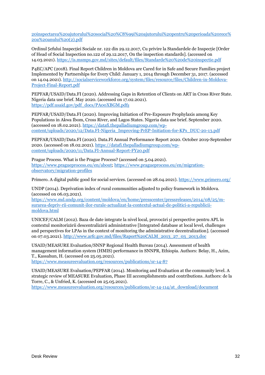[20inspectarea%20ajutorului%20social%20%C8%99i%20ajutorului%20pentru%20perioada%20rece%](https://is.msmps.gov.md/sites/default/files/Manual%20%20opera%C8%9Bional%20privind%20inspectarea%20ajutorului%20social%20%C8%99i%20ajutorului%20pentru%20perioada%20rece%20a%20anului%20(2).pdf) [20a%20anului%20\(2\).pdf](https://is.msmps.gov.md/sites/default/files/Manual%20%20opera%C8%9Bional%20privind%20inspectarea%20ajutorului%20social%20%C8%99i%20ajutorului%20pentru%20perioada%20rece%20a%20anului%20(2).pdf)

Ordinul Șefului Inspecției Sociale nr. 122 din 29.12.2017, Cu privire la Standardele de Inspecție [Order of Head of Social Inspection no.122 of 29.12.2017, On the inspection standards]. (accessed on 14.03.2021). <https://is.msmps.gov.md/sites/default/files/Standarde%20%20de%20inspectie.pdf>

P4EC/APC (2018). Final Report Children in Moldova are Cared for in Safe and Secure Families project Implemented by Partnerships for Every Child: January 1, 2014 through December 31, 2017. (accessed on 14.04.2021)[. http://socialserviceworkforce.org/system/files/resource/files/Children-in-Moldova-](http://socialserviceworkforce.org/system/files/resource/files/Children-in-Moldova-Project-Final-Report.pdf)[Project-Final-Report.pdf](http://socialserviceworkforce.org/system/files/resource/files/Children-in-Moldova-Project-Final-Report.pdf)

PEPFAR/USAID/Data.FI (2020). Addressing Gaps in Retention of Clients on ART in Cross River State. Nigeria data use brief. May 2020. (accessed on 17.02.2021). [https://pdf.usaid.gov/pdf\\_docs/PA00XBGM.pdf](https://pdf.usaid.gov/pdf_docs/PA00XBGM.pdfș)[ș](https://pdf.usaid.gov/pdf_docs/PA00XBGM.pdfș)

PEPFAR/USAID/Data.FI (2020). Improving Initiation of Pre-Exposure Prophylaxis among Key Populations in Akwa Ibom, Cross River, and Lagos States. Nigeria data use brief. September 2020. (accessed on 18.02.2021). [https://datafi.thepalladiumgroup.com/wp](https://datafi.thepalladiumgroup.com/wp-content/uploads/2020/12/Data.FI-Nigeria_Improving-PrEP-Initiation-for-KPs_DUC-20-13.pdf)[content/uploads/2020/12/Data.FI-Nigeria\\_Improving-PrEP-Initiation-for-KPs\\_DUC-20-13.pdf](https://datafi.thepalladiumgroup.com/wp-content/uploads/2020/12/Data.FI-Nigeria_Improving-PrEP-Initiation-for-KPs_DUC-20-13.pdf)

PEPFAR/USAID/Data.FI (2020). Data.FI Annual Performance Report 2020. October 2019-September 2020. (accessed on 18.02.2021)[. https://datafi.thepalladiumgroup.com/wp](https://datafi.thepalladiumgroup.com/wp-content/uploads/2020/11/Data.FI-Annual-Report-FY20.pdf)[content/uploads/2020/11/Data.FI-Annual-Report-FY20.pdf](https://datafi.thepalladiumgroup.com/wp-content/uploads/2020/11/Data.FI-Annual-Report-FY20.pdf)

Prague Process. What is the Prague Process? (accessed on 5.04.2021). [https://www.pragueprocess.eu/en/about;](https://www.pragueprocess.eu/en/about) [https://www.pragueprocess.eu/en/migration](https://www.pragueprocess.eu/en/migration-observatory/migration-profiles)[observatory/migration-profiles](https://www.pragueprocess.eu/en/migration-observatory/migration-profiles)

Primero. A digital public good for social services. (accessed on 28.04.2021)[. https://www.primero.org/](https://www.primero.org/)

UNDP (2014). Deprivation index of rural communities adjusted to policy framework in Moldova. (accessed on 06.03.2021).

[https://www.md.undp.org/content/moldova/en/home/presscenter/pressreleases/2014/08/25/m](https://www.md.undp.org/content/moldova/en/home/presscenter/pressreleases/2014/08/25/m-surarea-depriv-rii-comunit-ilor-rurale-actualizat-la-contextul-actual-de-politici-a-republicii-moldova.html)[surarea-depriv-rii-comunit-ilor-rurale-actualizat-la-contextul-actual-de-politici-a-republicii](https://www.md.undp.org/content/moldova/en/home/presscenter/pressreleases/2014/08/25/m-surarea-depriv-rii-comunit-ilor-rurale-actualizat-la-contextul-actual-de-politici-a-republicii-moldova.html)[moldova.html](https://www.md.undp.org/content/moldova/en/home/presscenter/pressreleases/2014/08/25/m-surarea-depriv-rii-comunit-ilor-rurale-actualizat-la-contextul-actual-de-politici-a-republicii-moldova.html)

UNICEF/CALM (2012). Baza de date integrate la nivel local, provocări și perspective pentru APL în contextul monitorizării descentralizării administrative [Integrated database at local level, challenges and perspectives for LPAs in the context of monitoring the administrative decentralization]. (accessed on 07.03.2021). [http://www.arfc.gov.md/files/Raport%20CALM\\_2013\\_27\\_03\\_2013.doc](http://www.arfc.gov.md/files/Raport%20CALM_2013_27_03_2013.doc)

USAID/MEASURE Evaluation/SNNP Regional Health Bureau (2014). Assessment of health management information system (HMIS) performance in SNNPR, Ethiopia. Authors: Belay, H., Azim, T., Kassahun, H. (accessed on 25.05.2021).

<https://www.measureevaluation.org/resources/publications/sr-14-87>

USAID/MEASURE Evaluation/PEPFAR (2014). Monitoring and Evaluation at the community level. A strategic review of MEASURE Evaluation, Phase III accomplishments and contributions. Authors: de la Torre, C., & Unfried, K. (accessed on 25.05.2021).

[https://www.measureevaluation.org/resources/publications/sr-14-114/at\\_download/document](https://www.measureevaluation.org/resources/publications/sr-14-114/at_download/document)